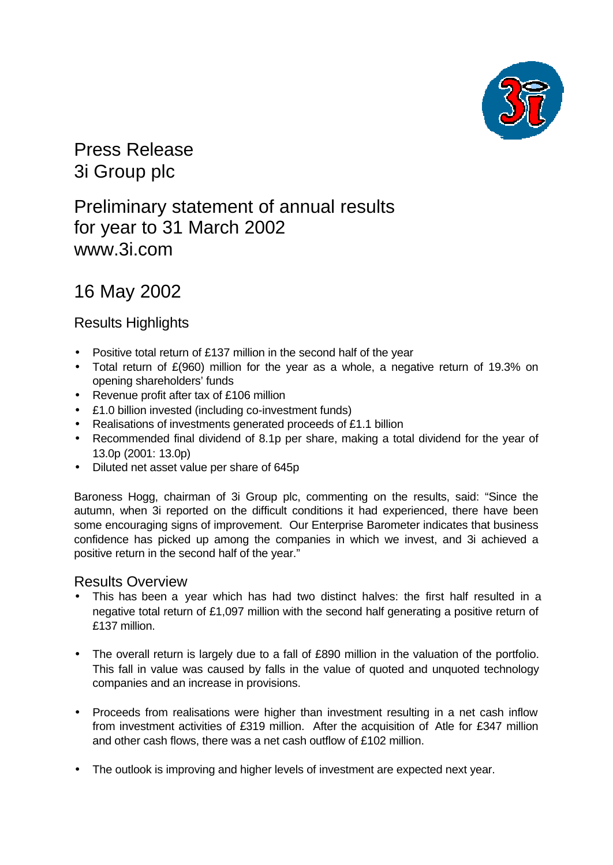

Press Release 3i Group plc

Preliminary statement of annual results for year to 31 March 2002 www.3i.com

# 16 May 2002

## Results Highlights

- Positive total return of £137 million in the second half of the year
- Total return of £(960) million for the year as a whole, a negative return of 19.3% on opening shareholders' funds
- Revenue profit after tax of £106 million
- £1.0 billion invested (including co-investment funds)
- Realisations of investments generated proceeds of £1.1 billion
- Recommended final dividend of 8.1p per share, making a total dividend for the year of 13.0p (2001: 13.0p)
- Diluted net asset value per share of 645p

Baroness Hogg, chairman of 3i Group plc, commenting on the results, said: "Since the autumn, when 3i reported on the difficult conditions it had experienced, there have been some encouraging signs of improvement. Our Enterprise Barometer indicates that business confidence has picked up among the companies in which we invest, and 3i achieved a positive return in the second half of the year."

## Results Overview

- This has been a year which has had two distinct halves: the first half resulted in a negative total return of £1,097 million with the second half generating a positive return of £137 million.
- The overall return is largely due to a fall of £890 million in the valuation of the portfolio. This fall in value was caused by falls in the value of quoted and unquoted technology companies and an increase in provisions.
- Proceeds from realisations were higher than investment resulting in a net cash inflow from investment activities of £319 million. After the acquisition of Atle for £347 million and other cash flows, there was a net cash outflow of £102 million.
- The outlook is improving and higher levels of investment are expected next year.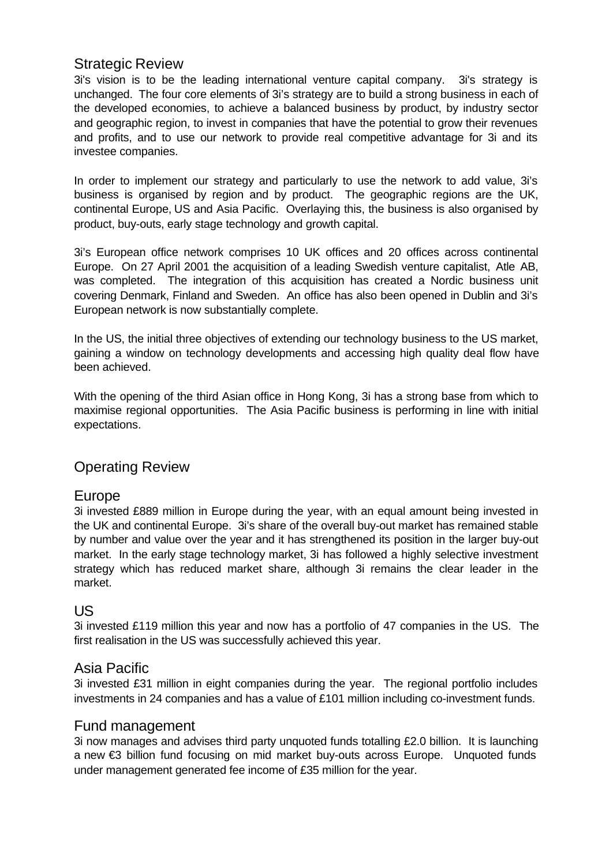## Strategic Review

3i's vision is to be the leading international venture capital company. 3i's strategy is unchanged. The four core elements of 3i's strategy are to build a strong business in each of the developed economies, to achieve a balanced business by product, by industry sector and geographic region, to invest in companies that have the potential to grow their revenues and profits, and to use our network to provide real competitive advantage for 3i and its investee companies.

In order to implement our strategy and particularly to use the network to add value, 3i's business is organised by region and by product. The geographic regions are the UK, continental Europe, US and Asia Pacific. Overlaying this, the business is also organised by product, buy-outs, early stage technology and growth capital.

3i's European office network comprises 10 UK offices and 20 offices across continental Europe. On 27 April 2001 the acquisition of a leading Swedish venture capitalist, Atle AB, was completed. The integration of this acquisition has created a Nordic business unit covering Denmark, Finland and Sweden. An office has also been opened in Dublin and 3i's European network is now substantially complete.

In the US, the initial three objectives of extending our technology business to the US market, gaining a window on technology developments and accessing high quality deal flow have been achieved.

With the opening of the third Asian office in Hong Kong, 3i has a strong base from which to maximise regional opportunities. The Asia Pacific business is performing in line with initial expectations.

## Operating Review

## Europe

3i invested £889 million in Europe during the year, with an equal amount being invested in the UK and continental Europe. 3i's share of the overall buy-out market has remained stable by number and value over the year and it has strengthened its position in the larger buy-out market. In the early stage technology market, 3i has followed a highly selective investment strategy which has reduced market share, although 3i remains the clear leader in the market.

### US

3i invested £119 million this year and now has a portfolio of 47 companies in the US. The first realisation in the US was successfully achieved this year.

## Asia Pacific

3i invested £31 million in eight companies during the year. The regional portfolio includes investments in 24 companies and has a value of £101 million including co-investment funds.

## Fund management

3i now manages and advises third party unquoted funds totalling £2.0 billion. It is launching a new €3 billion fund focusing on mid market buy-outs across Europe. Unquoted funds under management generated fee income of £35 million for the year.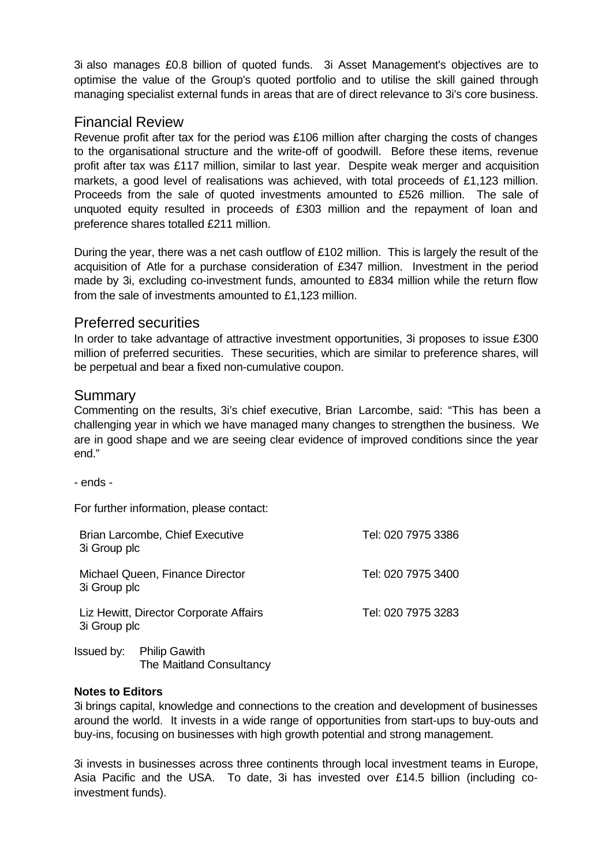3i also manages £0.8 billion of quoted funds. 3i Asset Management's objectives are to optimise the value of the Group's quoted portfolio and to utilise the skill gained through managing specialist external funds in areas that are of direct relevance to 3i's core business.

## Financial Review

Revenue profit after tax for the period was £106 million after charging the costs of changes to the organisational structure and the write-off of goodwill. Before these items, revenue profit after tax was £117 million, similar to last year. Despite weak merger and acquisition markets, a good level of realisations was achieved, with total proceeds of £1,123 million. Proceeds from the sale of quoted investments amounted to £526 million. The sale of unquoted equity resulted in proceeds of £303 million and the repayment of loan and preference shares totalled £211 million.

During the year, there was a net cash outflow of £102 million. This is largely the result of the acquisition of Atle for a purchase consideration of £347 million. Investment in the period made by 3i, excluding co-investment funds, amounted to £834 million while the return flow from the sale of investments amounted to £1,123 million.

## Preferred securities

In order to take advantage of attractive investment opportunities, 3i proposes to issue £300 million of preferred securities. These securities, which are similar to preference shares, will be perpetual and bear a fixed non-cumulative coupon.

## **Summary**

Commenting on the results, 3i's chief executive, Brian Larcombe, said: "This has been a challenging year in which we have managed many changes to strengthen the business. We are in good shape and we are seeing clear evidence of improved conditions since the year end."

- ends -

For further information, please contact:

| 3i Group plc | Brian Larcombe, Chief Executive                         | Tel: 020 7975 3386 |
|--------------|---------------------------------------------------------|--------------------|
| 3i Group plc | Michael Queen, Finance Director                         | Tel: 020 7975 3400 |
| 3i Group plc | Liz Hewitt, Director Corporate Affairs                  | Tel: 020 7975 3283 |
| Issued by:   | <b>Philip Gawith</b><br><b>The Maitland Consultancy</b> |                    |

#### **Notes to Editors**

3i brings capital, knowledge and connections to the creation and development of businesses around the world. It invests in a wide range of opportunities from start-ups to buy-outs and buy-ins, focusing on businesses with high growth potential and strong management.

3i invests in businesses across three continents through local investment teams in Europe, Asia Pacific and the USA. To date, 3i has invested over £14.5 billion (including coinvestment funds).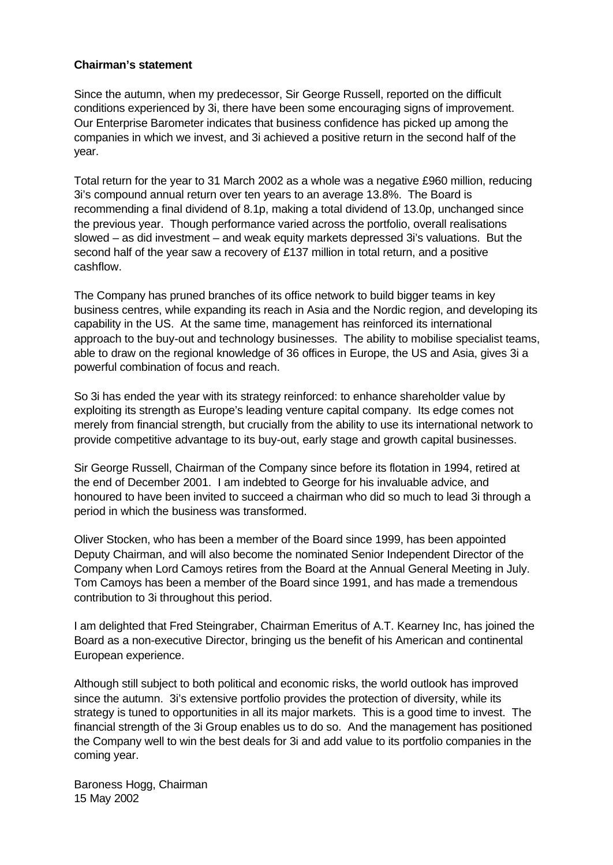#### **Chairman's statement**

Since the autumn, when my predecessor, Sir George Russell, reported on the difficult conditions experienced by 3i, there have been some encouraging signs of improvement. Our Enterprise Barometer indicates that business confidence has picked up among the companies in which we invest, and 3i achieved a positive return in the second half of the year.

Total return for the year to 31 March 2002 as a whole was a negative £960 million, reducing 3i's compound annual return over ten years to an average 13.8%. The Board is recommending a final dividend of 8.1p, making a total dividend of 13.0p, unchanged since the previous year. Though performance varied across the portfolio, overall realisations slowed – as did investment – and weak equity markets depressed 3i's valuations. But the second half of the year saw a recovery of £137 million in total return, and a positive cashflow.

The Company has pruned branches of its office network to build bigger teams in key business centres, while expanding its reach in Asia and the Nordic region, and developing its capability in the US. At the same time, management has reinforced its international approach to the buy-out and technology businesses. The ability to mobilise specialist teams, able to draw on the regional knowledge of 36 offices in Europe, the US and Asia, gives 3i a powerful combination of focus and reach.

So 3i has ended the year with its strategy reinforced: to enhance shareholder value by exploiting its strength as Europe's leading venture capital company. Its edge comes not merely from financial strength, but crucially from the ability to use its international network to provide competitive advantage to its buy-out, early stage and growth capital businesses.

Sir George Russell, Chairman of the Company since before its flotation in 1994, retired at the end of December 2001. I am indebted to George for his invaluable advice, and honoured to have been invited to succeed a chairman who did so much to lead 3i through a period in which the business was transformed.

Oliver Stocken, who has been a member of the Board since 1999, has been appointed Deputy Chairman, and will also become the nominated Senior Independent Director of the Company when Lord Camoys retires from the Board at the Annual General Meeting in July. Tom Camoys has been a member of the Board since 1991, and has made a tremendous contribution to 3i throughout this period.

I am delighted that Fred Steingraber, Chairman Emeritus of A.T. Kearney Inc, has joined the Board as a non-executive Director, bringing us the benefit of his American and continental European experience.

Although still subject to both political and economic risks, the world outlook has improved since the autumn. 3i's extensive portfolio provides the protection of diversity, while its strategy is tuned to opportunities in all its major markets. This is a good time to invest. The financial strength of the 3i Group enables us to do so. And the management has positioned the Company well to win the best deals for 3i and add value to its portfolio companies in the coming year.

Baroness Hogg, Chairman 15 May 2002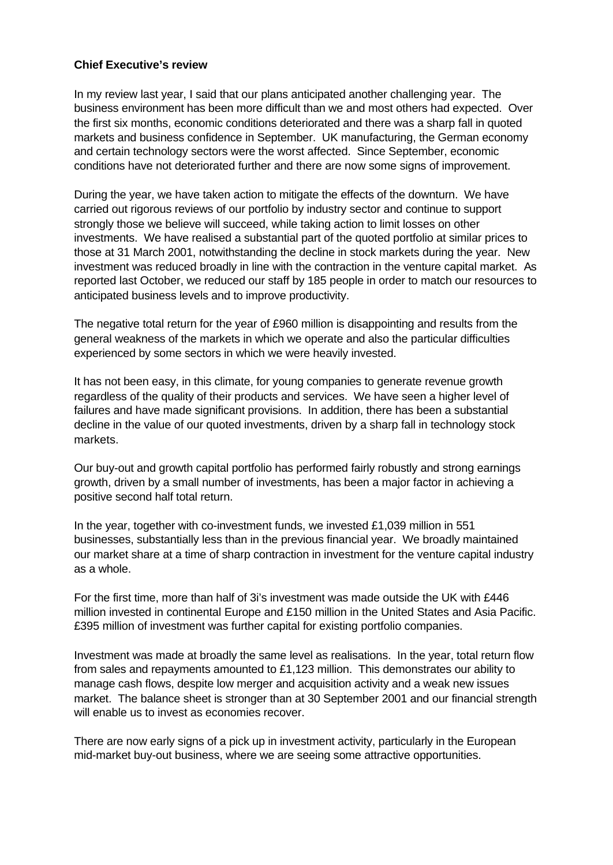### **Chief Executive's review**

In my review last year, I said that our plans anticipated another challenging year. The business environment has been more difficult than we and most others had expected. Over the first six months, economic conditions deteriorated and there was a sharp fall in quoted markets and business confidence in September. UK manufacturing, the German economy and certain technology sectors were the worst affected. Since September, economic conditions have not deteriorated further and there are now some signs of improvement.

During the year, we have taken action to mitigate the effects of the downturn. We have carried out rigorous reviews of our portfolio by industry sector and continue to support strongly those we believe will succeed, while taking action to limit losses on other investments. We have realised a substantial part of the quoted portfolio at similar prices to those at 31 March 2001, notwithstanding the decline in stock markets during the year. New investment was reduced broadly in line with the contraction in the venture capital market. As reported last October, we reduced our staff by 185 people in order to match our resources to anticipated business levels and to improve productivity.

The negative total return for the year of £960 million is disappointing and results from the general weakness of the markets in which we operate and also the particular difficulties experienced by some sectors in which we were heavily invested.

It has not been easy, in this climate, for young companies to generate revenue growth regardless of the quality of their products and services. We have seen a higher level of failures and have made significant provisions. In addition, there has been a substantial decline in the value of our quoted investments, driven by a sharp fall in technology stock markets.

Our buy-out and growth capital portfolio has performed fairly robustly and strong earnings growth, driven by a small number of investments, has been a major factor in achieving a positive second half total return.

In the year, together with co-investment funds, we invested £1,039 million in 551 businesses, substantially less than in the previous financial year. We broadly maintained our market share at a time of sharp contraction in investment for the venture capital industry as a whole.

For the first time, more than half of 3i's investment was made outside the UK with £446 million invested in continental Europe and £150 million in the United States and Asia Pacific. £395 million of investment was further capital for existing portfolio companies.

Investment was made at broadly the same level as realisations. In the year, total return flow from sales and repayments amounted to  $£1,123$  million. This demonstrates our ability to manage cash flows, despite low merger and acquisition activity and a weak new issues market. The balance sheet is stronger than at 30 September 2001 and our financial strength will enable us to invest as economies recover.

There are now early signs of a pick up in investment activity, particularly in the European mid-market buy-out business, where we are seeing some attractive opportunities.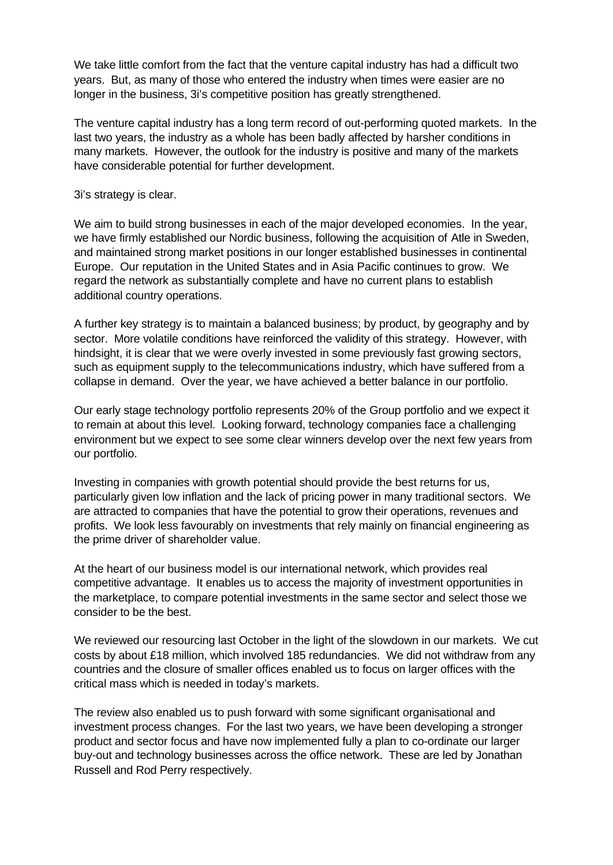We take little comfort from the fact that the venture capital industry has had a difficult two years. But, as many of those who entered the industry when times were easier are no longer in the business, 3i's competitive position has greatly strengthened.

The venture capital industry has a long term record of out-performing quoted markets. In the last two years, the industry as a whole has been badly affected by harsher conditions in many markets. However, the outlook for the industry is positive and many of the markets have considerable potential for further development.

3i's strategy is clear.

We aim to build strong businesses in each of the major developed economies. In the year, we have firmly established our Nordic business, following the acquisition of Atle in Sweden, and maintained strong market positions in our longer established businesses in continental Europe. Our reputation in the United States and in Asia Pacific continues to grow. We regard the network as substantially complete and have no current plans to establish additional country operations.

A further key strategy is to maintain a balanced business; by product, by geography and by sector. More volatile conditions have reinforced the validity of this strategy. However, with hindsight, it is clear that we were overly invested in some previously fast growing sectors, such as equipment supply to the telecommunications industry, which have suffered from a collapse in demand. Over the year, we have achieved a better balance in our portfolio.

Our early stage technology portfolio represents 20% of the Group portfolio and we expect it to remain at about this level. Looking forward, technology companies face a challenging environment but we expect to see some clear winners develop over the next few years from our portfolio.

Investing in companies with growth potential should provide the best returns for us, particularly given low inflation and the lack of pricing power in many traditional sectors. We are attracted to companies that have the potential to grow their operations, revenues and profits. We look less favourably on investments that rely mainly on financial engineering as the prime driver of shareholder value.

At the heart of our business model is our international network, which provides real competitive advantage. It enables us to access the majority of investment opportunities in the marketplace, to compare potential investments in the same sector and select those we consider to be the best.

We reviewed our resourcing last October in the light of the slowdown in our markets. We cut costs by about £18 million, which involved 185 redundancies. We did not withdraw from any countries and the closure of smaller offices enabled us to focus on larger offices with the critical mass which is needed in today's markets.

The review also enabled us to push forward with some significant organisational and investment process changes. For the last two years, we have been developing a stronger product and sector focus and have now implemented fully a plan to co-ordinate our larger buy-out and technology businesses across the office network. These are led by Jonathan Russell and Rod Perry respectively.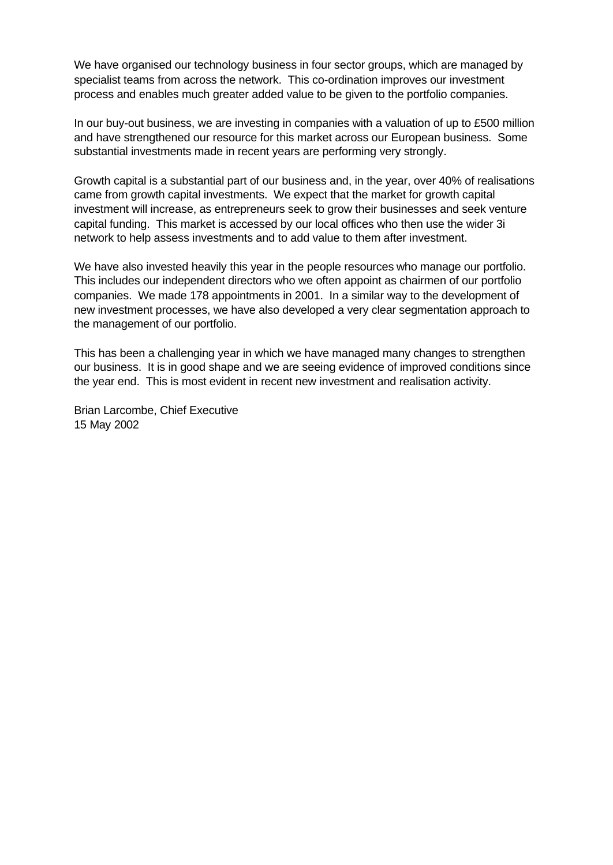We have organised our technology business in four sector groups, which are managed by specialist teams from across the network. This co-ordination improves our investment process and enables much greater added value to be given to the portfolio companies.

In our buy-out business, we are investing in companies with a valuation of up to £500 million and have strengthened our resource for this market across our European business. Some substantial investments made in recent years are performing very strongly.

Growth capital is a substantial part of our business and, in the year, over 40% of realisations came from growth capital investments. We expect that the market for growth capital investment will increase, as entrepreneurs seek to grow their businesses and seek venture capital funding. This market is accessed by our local offices who then use the wider 3i network to help assess investments and to add value to them after investment.

We have also invested heavily this year in the people resources who manage our portfolio. This includes our independent directors who we often appoint as chairmen of our portfolio companies. We made 178 appointments in 2001. In a similar way to the development of new investment processes, we have also developed a very clear segmentation approach to the management of our portfolio.

This has been a challenging year in which we have managed many changes to strengthen our business. It is in good shape and we are seeing evidence of improved conditions since the year end. This is most evident in recent new investment and realisation activity.

Brian Larcombe, Chief Executive 15 May 2002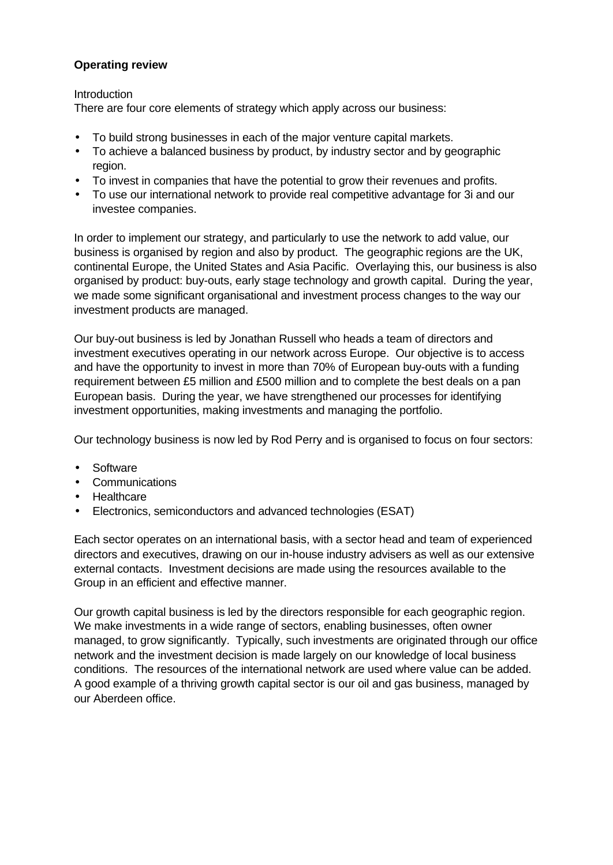### **Operating review**

#### **Introduction**

There are four core elements of strategy which apply across our business:

- To build strong businesses in each of the major venture capital markets.
- To achieve a balanced business by product, by industry sector and by geographic region.
- To invest in companies that have the potential to grow their revenues and profits.
- To use our international network to provide real competitive advantage for 3i and our investee companies.

In order to implement our strategy, and particularly to use the network to add value, our business is organised by region and also by product. The geographic regions are the UK, continental Europe, the United States and Asia Pacific. Overlaying this, our business is also organised by product: buy-outs, early stage technology and growth capital. During the year, we made some significant organisational and investment process changes to the way our investment products are managed.

Our buy-out business is led by Jonathan Russell who heads a team of directors and investment executives operating in our network across Europe. Our objective is to access and have the opportunity to invest in more than 70% of European buy-outs with a funding requirement between £5 million and £500 million and to complete the best deals on a pan European basis. During the year, we have strengthened our processes for identifying investment opportunities, making investments and managing the portfolio.

Our technology business is now led by Rod Perry and is organised to focus on four sectors:

- Software
- Communications
- Healthcare
- Electronics, semiconductors and advanced technologies (ESAT)

Each sector operates on an international basis, with a sector head and team of experienced directors and executives, drawing on our in-house industry advisers as well as our extensive external contacts. Investment decisions are made using the resources available to the Group in an efficient and effective manner.

Our growth capital business is led by the directors responsible for each geographic region. We make investments in a wide range of sectors, enabling businesses, often owner managed, to grow significantly. Typically, such investments are originated through our office network and the investment decision is made largely on our knowledge of local business conditions. The resources of the international network are used where value can be added. A good example of a thriving growth capital sector is our oil and gas business, managed by our Aberdeen office.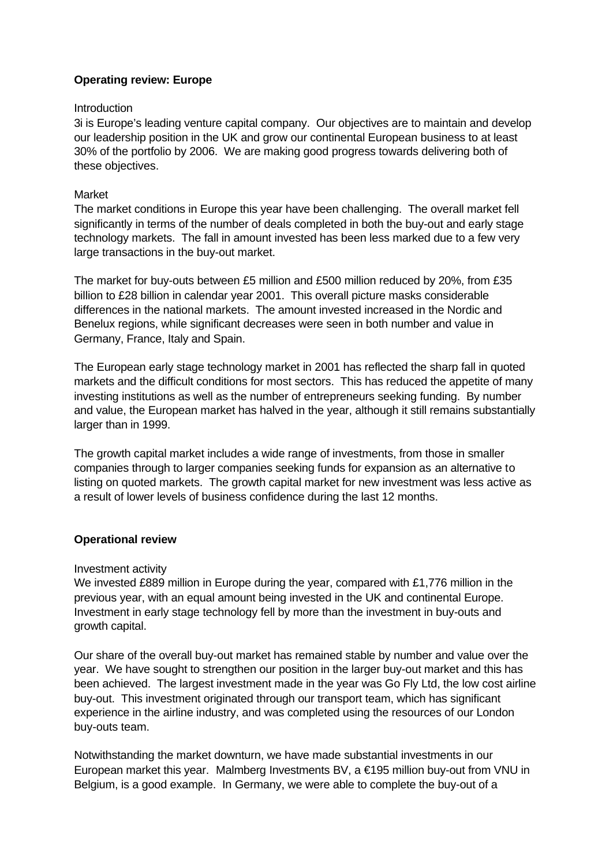### **Operating review: Europe**

#### **Introduction**

3i is Europe's leading venture capital company. Our objectives are to maintain and develop our leadership position in the UK and grow our continental European business to at least 30% of the portfolio by 2006. We are making good progress towards delivering both of these objectives.

#### Market

The market conditions in Europe this year have been challenging. The overall market fell significantly in terms of the number of deals completed in both the buy-out and early stage technology markets. The fall in amount invested has been less marked due to a few very large transactions in the buy-out market.

The market for buy-outs between £5 million and £500 million reduced by 20%, from £35 billion to £28 billion in calendar year 2001. This overall picture masks considerable differences in the national markets. The amount invested increased in the Nordic and Benelux regions, while significant decreases were seen in both number and value in Germany, France, Italy and Spain.

The European early stage technology market in 2001 has reflected the sharp fall in quoted markets and the difficult conditions for most sectors. This has reduced the appetite of many investing institutions as well as the number of entrepreneurs seeking funding. By number and value, the European market has halved in the year, although it still remains substantially larger than in 1999.

The growth capital market includes a wide range of investments, from those in smaller companies through to larger companies seeking funds for expansion as an alternative to listing on quoted markets. The growth capital market for new investment was less active as a result of lower levels of business confidence during the last 12 months.

### **Operational review**

#### Investment activity

We invested £889 million in Europe during the year, compared with £1,776 million in the previous year, with an equal amount being invested in the UK and continental Europe. Investment in early stage technology fell by more than the investment in buy-outs and growth capital.

Our share of the overall buy-out market has remained stable by number and value over the year. We have sought to strengthen our position in the larger buy-out market and this has been achieved. The largest investment made in the year was Go Fly Ltd, the low cost airline buy-out. This investment originated through our transport team, which has significant experience in the airline industry, and was completed using the resources of our London buy-outs team.

Notwithstanding the market downturn, we have made substantial investments in our European market this year. Malmberg Investments BV, a €195 million buy-out from VNU in Belgium, is a good example. In Germany, we were able to complete the buy-out of a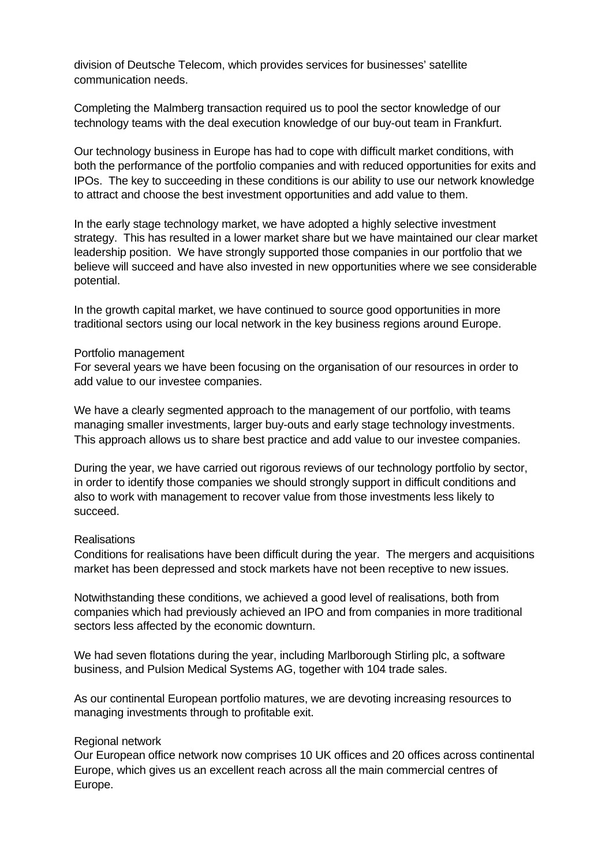division of Deutsche Telecom, which provides services for businesses' satellite communication needs.

Completing the Malmberg transaction required us to pool the sector knowledge of our technology teams with the deal execution knowledge of our buy-out team in Frankfurt.

Our technology business in Europe has had to cope with difficult market conditions, with both the performance of the portfolio companies and with reduced opportunities for exits and IPOs. The key to succeeding in these conditions is our ability to use our network knowledge to attract and choose the best investment opportunities and add value to them.

In the early stage technology market, we have adopted a highly selective investment strategy. This has resulted in a lower market share but we have maintained our clear market leadership position. We have strongly supported those companies in our portfolio that we believe will succeed and have also invested in new opportunities where we see considerable potential.

In the growth capital market, we have continued to source good opportunities in more traditional sectors using our local network in the key business regions around Europe.

#### Portfolio management

For several years we have been focusing on the organisation of our resources in order to add value to our investee companies.

We have a clearly segmented approach to the management of our portfolio, with teams managing smaller investments, larger buy-outs and early stage technology investments. This approach allows us to share best practice and add value to our investee companies.

During the year, we have carried out rigorous reviews of our technology portfolio by sector, in order to identify those companies we should strongly support in difficult conditions and also to work with management to recover value from those investments less likely to succeed.

#### **Realisations**

Conditions for realisations have been difficult during the year. The mergers and acquisitions market has been depressed and stock markets have not been receptive to new issues.

Notwithstanding these conditions, we achieved a good level of realisations, both from companies which had previously achieved an IPO and from companies in more traditional sectors less affected by the economic downturn.

We had seven flotations during the year, including Marlborough Stirling plc, a software business, and Pulsion Medical Systems AG, together with 104 trade sales.

As our continental European portfolio matures, we are devoting increasing resources to managing investments through to profitable exit.

#### Regional network

Our European office network now comprises 10 UK offices and 20 offices across continental Europe, which gives us an excellent reach across all the main commercial centres of Europe.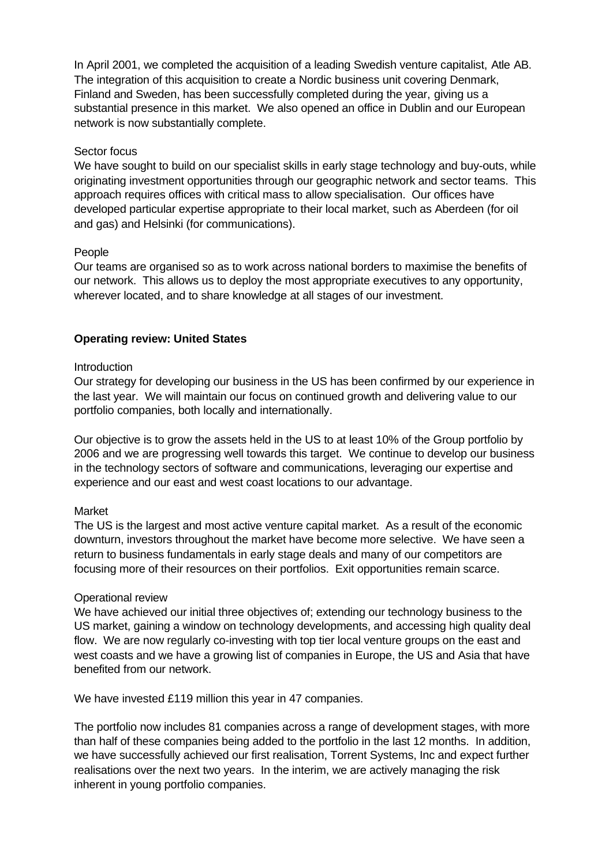In April 2001, we completed the acquisition of a leading Swedish venture capitalist, Atle AB. The integration of this acquisition to create a Nordic business unit covering Denmark, Finland and Sweden, has been successfully completed during the year, giving us a substantial presence in this market. We also opened an office in Dublin and our European network is now substantially complete.

#### Sector focus

We have sought to build on our specialist skills in early stage technology and buy-outs, while originating investment opportunities through our geographic network and sector teams. This approach requires offices with critical mass to allow specialisation. Our offices have developed particular expertise appropriate to their local market, such as Aberdeen (for oil and gas) and Helsinki (for communications).

### People

Our teams are organised so as to work across national borders to maximise the benefits of our network. This allows us to deploy the most appropriate executives to any opportunity, wherever located, and to share knowledge at all stages of our investment.

### **Operating review: United States**

#### **Introduction**

Our strategy for developing our business in the US has been confirmed by our experience in the last year. We will maintain our focus on continued growth and delivering value to our portfolio companies, both locally and internationally.

Our objective is to grow the assets held in the US to at least 10% of the Group portfolio by 2006 and we are progressing well towards this target. We continue to develop our business in the technology sectors of software and communications, leveraging our expertise and experience and our east and west coast locations to our advantage.

#### Market

The US is the largest and most active venture capital market. As a result of the economic downturn, investors throughout the market have become more selective. We have seen a return to business fundamentals in early stage deals and many of our competitors are focusing more of their resources on their portfolios. Exit opportunities remain scarce.

#### Operational review

We have achieved our initial three objectives of; extending our technology business to the US market, gaining a window on technology developments, and accessing high quality deal flow. We are now regularly co-investing with top tier local venture groups on the east and west coasts and we have a growing list of companies in Europe, the US and Asia that have benefited from our network.

We have invested £119 million this year in 47 companies.

The portfolio now includes 81 companies across a range of development stages, with more than half of these companies being added to the portfolio in the last 12 months. In addition, we have successfully achieved our first realisation, Torrent Systems, Inc and expect further realisations over the next two years. In the interim, we are actively managing the risk inherent in young portfolio companies.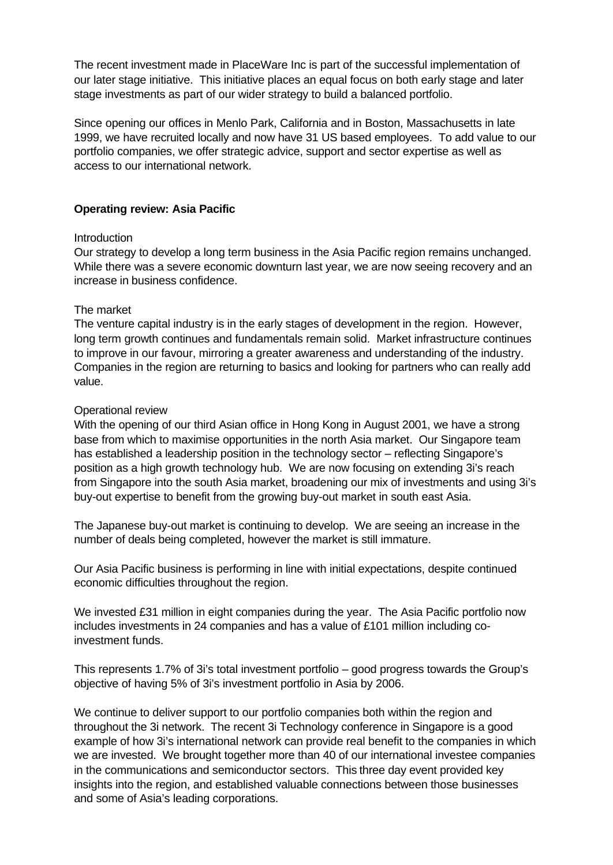The recent investment made in PlaceWare Inc is part of the successful implementation of our later stage initiative. This initiative places an equal focus on both early stage and later stage investments as part of our wider strategy to build a balanced portfolio.

Since opening our offices in Menlo Park, California and in Boston, Massachusetts in late 1999, we have recruited locally and now have 31 US based employees. To add value to our portfolio companies, we offer strategic advice, support and sector expertise as well as access to our international network.

#### **Operating review: Asia Pacific**

#### Introduction

Our strategy to develop a long term business in the Asia Pacific region remains unchanged. While there was a severe economic downturn last year, we are now seeing recovery and an increase in business confidence.

#### The market

The venture capital industry is in the early stages of development in the region. However, long term growth continues and fundamentals remain solid. Market infrastructure continues to improve in our favour, mirroring a greater awareness and understanding of the industry. Companies in the region are returning to basics and looking for partners who can really add value.

#### Operational review

With the opening of our third Asian office in Hong Kong in August 2001, we have a strong base from which to maximise opportunities in the north Asia market. Our Singapore team has established a leadership position in the technology sector – reflecting Singapore's position as a high growth technology hub. We are now focusing on extending 3i's reach from Singapore into the south Asia market, broadening our mix of investments and using 3i's buy-out expertise to benefit from the growing buy-out market in south east Asia.

The Japanese buy-out market is continuing to develop. We are seeing an increase in the number of deals being completed, however the market is still immature.

Our Asia Pacific business is performing in line with initial expectations, despite continued economic difficulties throughout the region.

We invested £31 million in eight companies during the year. The Asia Pacific portfolio now includes investments in 24 companies and has a value of £101 million including coinvestment funds.

This represents 1.7% of 3i's total investment portfolio – good progress towards the Group's objective of having 5% of 3i's investment portfolio in Asia by 2006.

We continue to deliver support to our portfolio companies both within the region and throughout the 3i network. The recent 3i Technology conference in Singapore is a good example of how 3i's international network can provide real benefit to the companies in which we are invested. We brought together more than 40 of our international investee companies in the communications and semiconductor sectors. This three day event provided key insights into the region, and established valuable connections between those businesses and some of Asia's leading corporations.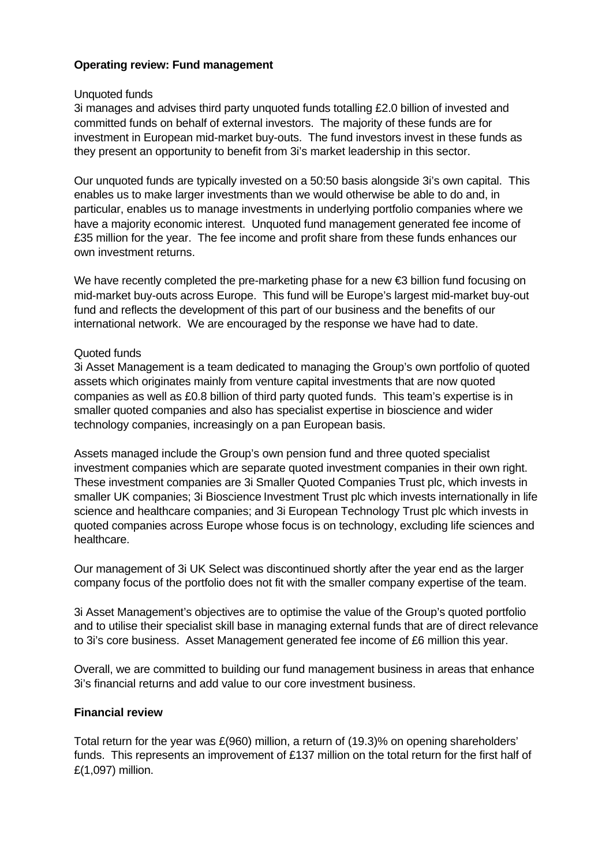### **Operating review: Fund management**

#### Unquoted funds

3i manages and advises third party unquoted funds totalling £2.0 billion of invested and committed funds on behalf of external investors. The majority of these funds are for investment in European mid-market buy-outs. The fund investors invest in these funds as they present an opportunity to benefit from 3i's market leadership in this sector.

Our unquoted funds are typically invested on a 50:50 basis alongside 3i's own capital. This enables us to make larger investments than we would otherwise be able to do and, in particular, enables us to manage investments in underlying portfolio companies where we have a majority economic interest. Unquoted fund management generated fee income of £35 million for the year. The fee income and profit share from these funds enhances our own investment returns.

We have recently completed the pre-marketing phase for a new €3 billion fund focusing on mid-market buy-outs across Europe. This fund will be Europe's largest mid-market buy-out fund and reflects the development of this part of our business and the benefits of our international network. We are encouraged by the response we have had to date.

#### Quoted funds

3i Asset Management is a team dedicated to managing the Group's own portfolio of quoted assets which originates mainly from venture capital investments that are now quoted companies as well as £0.8 billion of third party quoted funds. This team's expertise is in smaller quoted companies and also has specialist expertise in bioscience and wider technology companies, increasingly on a pan European basis.

Assets managed include the Group's own pension fund and three quoted specialist investment companies which are separate quoted investment companies in their own right. These investment companies are 3i Smaller Quoted Companies Trust plc, which invests in smaller UK companies; 3i Bioscience Investment Trust plc which invests internationally in life science and healthcare companies; and 3i European Technology Trust plc which invests in quoted companies across Europe whose focus is on technology, excluding life sciences and healthcare.

Our management of 3i UK Select was discontinued shortly after the year end as the larger company focus of the portfolio does not fit with the smaller company expertise of the team.

3i Asset Management's objectives are to optimise the value of the Group's quoted portfolio and to utilise their specialist skill base in managing external funds that are of direct relevance to 3i's core business. Asset Management generated fee income of £6 million this year.

Overall, we are committed to building our fund management business in areas that enhance 3i's financial returns and add value to our core investment business.

#### **Financial review**

Total return for the year was £(960) million, a return of (19.3)% on opening shareholders' funds. This represents an improvement of £137 million on the total return for the first half of £(1,097) million.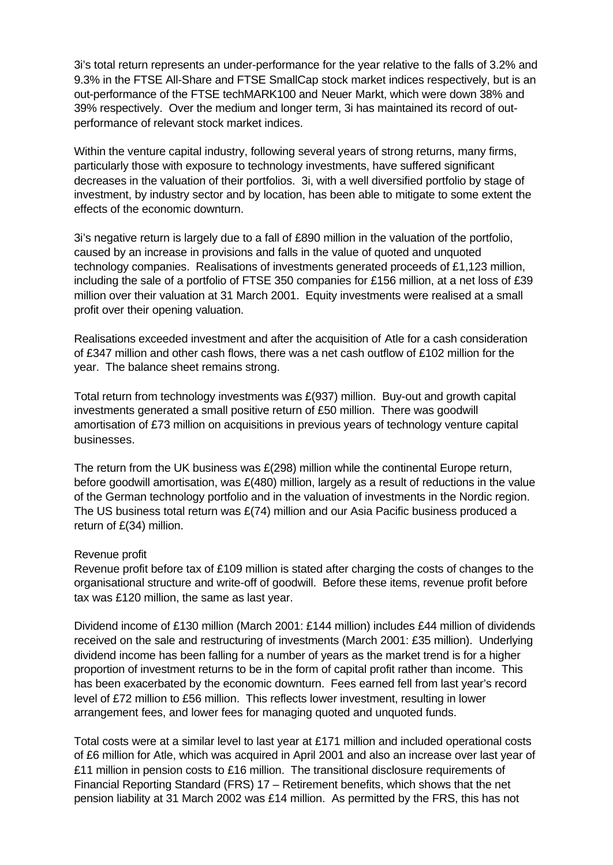3i's total return represents an under-performance for the year relative to the falls of 3.2% and 9.3% in the FTSE All-Share and FTSE SmallCap stock market indices respectively, but is an out-performance of the FTSE techMARK100 and Neuer Markt, which were down 38% and 39% respectively. Over the medium and longer term, 3i has maintained its record of outperformance of relevant stock market indices.

Within the venture capital industry, following several years of strong returns, many firms, particularly those with exposure to technology investments, have suffered significant decreases in the valuation of their portfolios. 3i, with a well diversified portfolio by stage of investment, by industry sector and by location, has been able to mitigate to some extent the effects of the economic downturn.

3i's negative return is largely due to a fall of £890 million in the valuation of the portfolio, caused by an increase in provisions and falls in the value of quoted and unquoted technology companies. Realisations of investments generated proceeds of £1,123 million, including the sale of a portfolio of FTSE 350 companies for £156 million, at a net loss of £39 million over their valuation at 31 March 2001. Equity investments were realised at a small profit over their opening valuation.

Realisations exceeded investment and after the acquisition of Atle for a cash consideration of £347 million and other cash flows, there was a net cash outflow of £102 million for the year. The balance sheet remains strong.

Total return from technology investments was £(937) million. Buy-out and growth capital investments generated a small positive return of £50 million. There was goodwill amortisation of £73 million on acquisitions in previous years of technology venture capital businesses.

The return from the UK business was  $E(298)$  million while the continental Europe return, before goodwill amortisation, was  $E(480)$  million, largely as a result of reductions in the value of the German technology portfolio and in the valuation of investments in the Nordic region. The US business total return was £(74) million and our Asia Pacific business produced a return of £(34) million.

#### Revenue profit

Revenue profit before tax of £109 million is stated after charging the costs of changes to the organisational structure and write-off of goodwill. Before these items, revenue profit before tax was £120 million, the same as last year.

Dividend income of £130 million (March 2001: £144 million) includes £44 million of dividends received on the sale and restructuring of investments (March 2001: £35 million). Underlying dividend income has been falling for a number of years as the market trend is for a higher proportion of investment returns to be in the form of capital profit rather than income. This has been exacerbated by the economic downturn. Fees earned fell from last year's record level of £72 million to £56 million. This reflects lower investment, resulting in lower arrangement fees, and lower fees for managing quoted and unquoted funds.

Total costs were at a similar level to last year at £171 million and included operational costs of £6 million for Atle, which was acquired in April 2001 and also an increase over last year of £11 million in pension costs to £16 million. The transitional disclosure requirements of Financial Reporting Standard (FRS) 17 – Retirement benefits, which shows that the net pension liability at 31 March 2002 was £14 million. As permitted by the FRS, this has not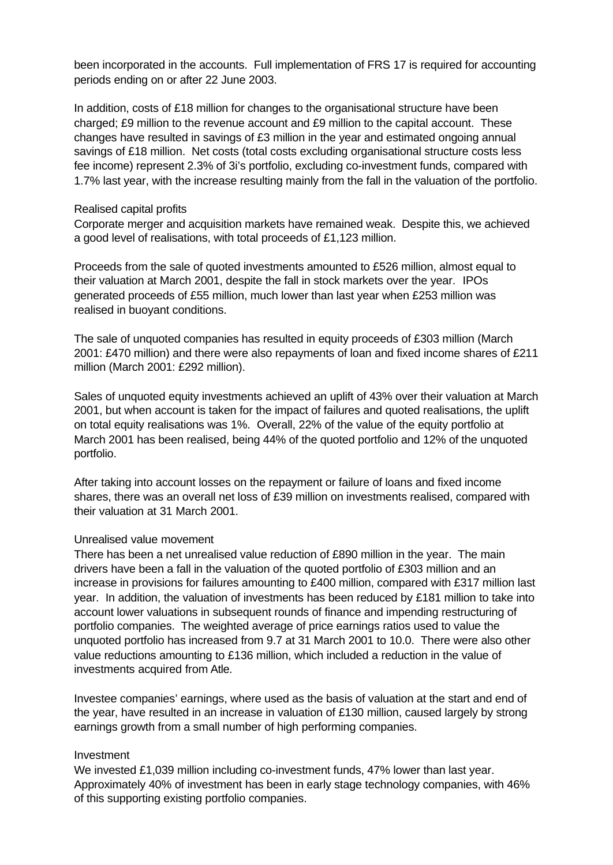been incorporated in the accounts. Full implementation of FRS 17 is required for accounting periods ending on or after 22 June 2003.

In addition, costs of £18 million for changes to the organisational structure have been charged; £9 million to the revenue account and £9 million to the capital account. These changes have resulted in savings of £3 million in the year and estimated ongoing annual savings of £18 million. Net costs (total costs excluding organisational structure costs less fee income) represent 2.3% of 3i's portfolio, excluding co-investment funds, compared with 1.7% last year, with the increase resulting mainly from the fall in the valuation of the portfolio.

#### Realised capital profits

Corporate merger and acquisition markets have remained weak. Despite this, we achieved a good level of realisations, with total proceeds of £1,123 million.

Proceeds from the sale of quoted investments amounted to £526 million, almost equal to their valuation at March 2001, despite the fall in stock markets over the year. IPOs generated proceeds of £55 million, much lower than last year when £253 million was realised in buoyant conditions.

The sale of unquoted companies has resulted in equity proceeds of £303 million (March 2001: £470 million) and there were also repayments of loan and fixed income shares of £211 million (March 2001: £292 million).

Sales of unquoted equity investments achieved an uplift of 43% over their valuation at March 2001, but when account is taken for the impact of failures and quoted realisations, the uplift on total equity realisations was 1%. Overall, 22% of the value of the equity portfolio at March 2001 has been realised, being 44% of the quoted portfolio and 12% of the unquoted portfolio.

After taking into account losses on the repayment or failure of loans and fixed income shares, there was an overall net loss of £39 million on investments realised, compared with their valuation at 31 March 2001.

#### Unrealised value movement

There has been a net unrealised value reduction of £890 million in the year. The main drivers have been a fall in the valuation of the quoted portfolio of £303 million and an increase in provisions for failures amounting to £400 million, compared with £317 million last year. In addition, the valuation of investments has been reduced by £181 million to take into account lower valuations in subsequent rounds of finance and impending restructuring of portfolio companies. The weighted average of price earnings ratios used to value the unquoted portfolio has increased from 9.7 at 31 March 2001 to 10.0. There were also other value reductions amounting to £136 million, which included a reduction in the value of investments acquired from Atle.

Investee companies' earnings, where used as the basis of valuation at the start and end of the year, have resulted in an increase in valuation of £130 million, caused largely by strong earnings growth from a small number of high performing companies.

#### Investment

We invested £1,039 million including co-investment funds, 47% lower than last year. Approximately 40% of investment has been in early stage technology companies, with 46% of this supporting existing portfolio companies.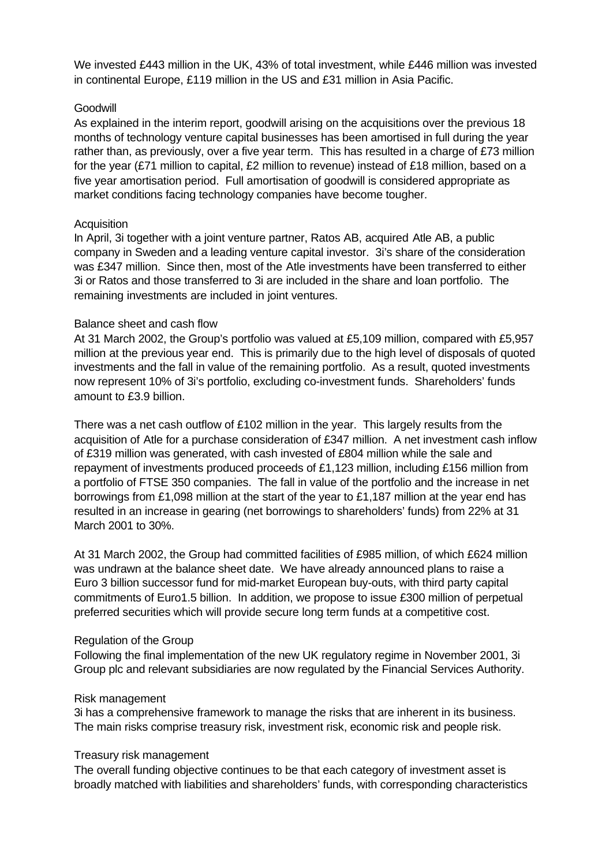We invested £443 million in the UK, 43% of total investment, while £446 million was invested in continental Europe, £119 million in the US and £31 million in Asia Pacific.

#### **Goodwill**

As explained in the interim report, goodwill arising on the acquisitions over the previous 18 months of technology venture capital businesses has been amortised in full during the year rather than, as previously, over a five year term. This has resulted in a charge of £73 million for the year (£71 million to capital, £2 million to revenue) instead of £18 million, based on a five year amortisation period. Full amortisation of goodwill is considered appropriate as market conditions facing technology companies have become tougher.

### **Acquisition**

In April, 3i together with a joint venture partner, Ratos AB, acquired Atle AB, a public company in Sweden and a leading venture capital investor. 3i's share of the consideration was £347 million. Since then, most of the Atle investments have been transferred to either 3i or Ratos and those transferred to 3i are included in the share and loan portfolio. The remaining investments are included in joint ventures.

### Balance sheet and cash flow

At 31 March 2002, the Group's portfolio was valued at £5,109 million, compared with £5,957 million at the previous year end. This is primarily due to the high level of disposals of quoted investments and the fall in value of the remaining portfolio. As a result, quoted investments now represent 10% of 3i's portfolio, excluding co-investment funds. Shareholders' funds amount to £3.9 billion.

There was a net cash outflow of £102 million in the year. This largely results from the acquisition of Atle for a purchase consideration of £347 million. A net investment cash inflow of £319 million was generated, with cash invested of £804 million while the sale and repayment of investments produced proceeds of £1,123 million, including £156 million from a portfolio of FTSE 350 companies. The fall in value of the portfolio and the increase in net borrowings from £1,098 million at the start of the year to £1,187 million at the year end has resulted in an increase in gearing (net borrowings to shareholders' funds) from 22% at 31 March 2001 to 30%.

At 31 March 2002, the Group had committed facilities of £985 million, of which £624 million was undrawn at the balance sheet date. We have already announced plans to raise a Euro 3 billion successor fund for mid-market European buy-outs, with third party capital commitments of Euro1.5 billion. In addition, we propose to issue £300 million of perpetual preferred securities which will provide secure long term funds at a competitive cost.

#### Regulation of the Group

Following the final implementation of the new UK regulatory regime in November 2001, 3i Group plc and relevant subsidiaries are now regulated by the Financial Services Authority.

#### Risk management

3i has a comprehensive framework to manage the risks that are inherent in its business. The main risks comprise treasury risk, investment risk, economic risk and people risk.

#### Treasury risk management

The overall funding objective continues to be that each category of investment asset is broadly matched with liabilities and shareholders' funds, with corresponding characteristics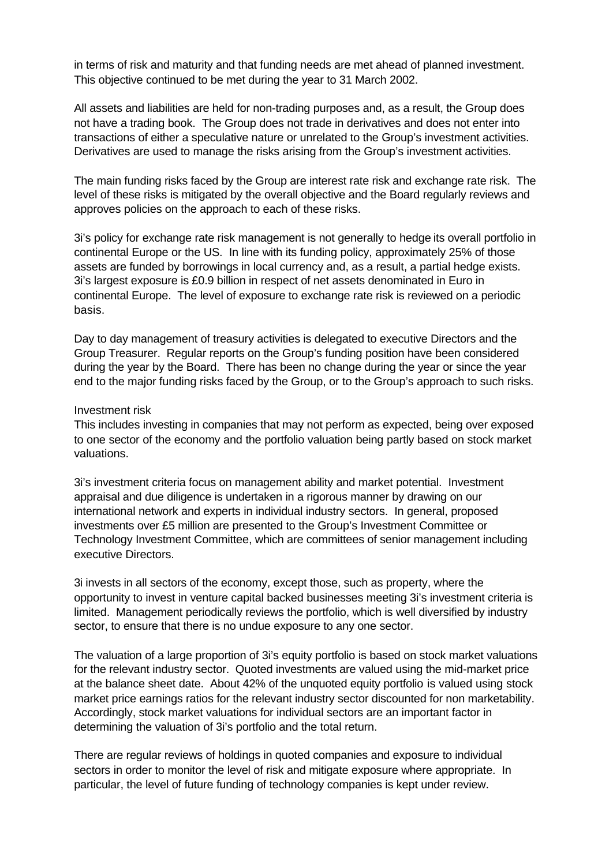in terms of risk and maturity and that funding needs are met ahead of planned investment. This objective continued to be met during the year to 31 March 2002.

All assets and liabilities are held for non-trading purposes and, as a result, the Group does not have a trading book. The Group does not trade in derivatives and does not enter into transactions of either a speculative nature or unrelated to the Group's investment activities. Derivatives are used to manage the risks arising from the Group's investment activities.

The main funding risks faced by the Group are interest rate risk and exchange rate risk. The level of these risks is mitigated by the overall objective and the Board regularly reviews and approves policies on the approach to each of these risks.

3i's policy for exchange rate risk management is not generally to hedge its overall portfolio in continental Europe or the US. In line with its funding policy, approximately 25% of those assets are funded by borrowings in local currency and, as a result, a partial hedge exists. 3i's largest exposure is £0.9 billion in respect of net assets denominated in Euro in continental Europe. The level of exposure to exchange rate risk is reviewed on a periodic basis.

Day to day management of treasury activities is delegated to executive Directors and the Group Treasurer. Regular reports on the Group's funding position have been considered during the year by the Board. There has been no change during the year or since the year end to the major funding risks faced by the Group, or to the Group's approach to such risks.

#### Investment risk

This includes investing in companies that may not perform as expected, being over exposed to one sector of the economy and the portfolio valuation being partly based on stock market valuations.

3i's investment criteria focus on management ability and market potential. Investment appraisal and due diligence is undertaken in a rigorous manner by drawing on our international network and experts in individual industry sectors. In general, proposed investments over £5 million are presented to the Group's Investment Committee or Technology Investment Committee, which are committees of senior management including executive Directors.

3i invests in all sectors of the economy, except those, such as property, where the opportunity to invest in venture capital backed businesses meeting 3i's investment criteria is limited. Management periodically reviews the portfolio, which is well diversified by industry sector, to ensure that there is no undue exposure to any one sector.

The valuation of a large proportion of 3i's equity portfolio is based on stock market valuations for the relevant industry sector. Quoted investments are valued using the mid-market price at the balance sheet date. About 42% of the unquoted equity portfolio is valued using stock market price earnings ratios for the relevant industry sector discounted for non marketability. Accordingly, stock market valuations for individual sectors are an important factor in determining the valuation of 3i's portfolio and the total return.

There are regular reviews of holdings in quoted companies and exposure to individual sectors in order to monitor the level of risk and mitigate exposure where appropriate. In particular, the level of future funding of technology companies is kept under review.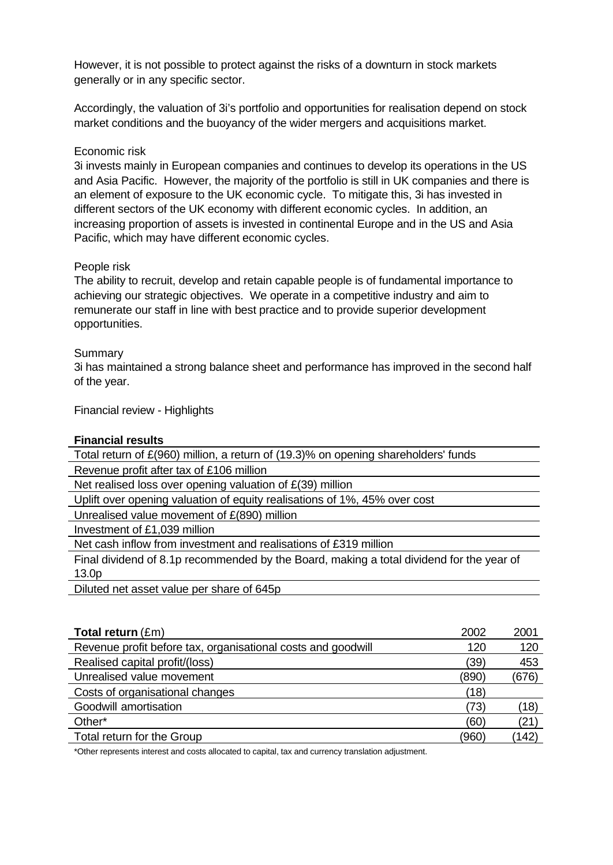However, it is not possible to protect against the risks of a downturn in stock markets generally or in any specific sector.

Accordingly, the valuation of 3i's portfolio and opportunities for realisation depend on stock market conditions and the buoyancy of the wider mergers and acquisitions market.

#### Economic risk

3i invests mainly in European companies and continues to develop its operations in the US and Asia Pacific. However, the majority of the portfolio is still in UK companies and there is an element of exposure to the UK economic cycle. To mitigate this, 3i has invested in different sectors of the UK economy with different economic cycles. In addition, an increasing proportion of assets is invested in continental Europe and in the US and Asia Pacific, which may have different economic cycles.

### People risk

The ability to recruit, develop and retain capable people is of fundamental importance to achieving our strategic objectives. We operate in a competitive industry and aim to remunerate our staff in line with best practice and to provide superior development opportunities.

#### Summary

3i has maintained a strong balance sheet and performance has improved in the second half of the year.

Financial review - Highlights

#### **Financial results**

Total return of £(960) million, a return of (19.3)% on opening shareholders' funds

Revenue profit after tax of £106 million

Net realised loss over opening valuation of £(39) million

Uplift over opening valuation of equity realisations of 1%, 45% over cost

Unrealised value movement of £(890) million

Investment of £1,039 million

Net cash inflow from investment and realisations of £319 million

Final dividend of 8.1p recommended by the Board, making a total dividend for the year of 13.0p

Diluted net asset value per share of 645p

| <b>Total return</b> $(\text{Em})$                            | 2002  | 2001  |
|--------------------------------------------------------------|-------|-------|
| Revenue profit before tax, organisational costs and goodwill | 120   | 120   |
| Realised capital profit/(loss)                               | (39)  | 453   |
| Unrealised value movement                                    | (890) | (676) |
| Costs of organisational changes                              | (18)  |       |
| Goodwill amortisation                                        | (73)  | (18)  |
| Other*                                                       | (60)  | (21)  |
| Total return for the Group                                   | (960) | (142) |

\*Other represents interest and costs allocated to capital, tax and currency translation adjustment.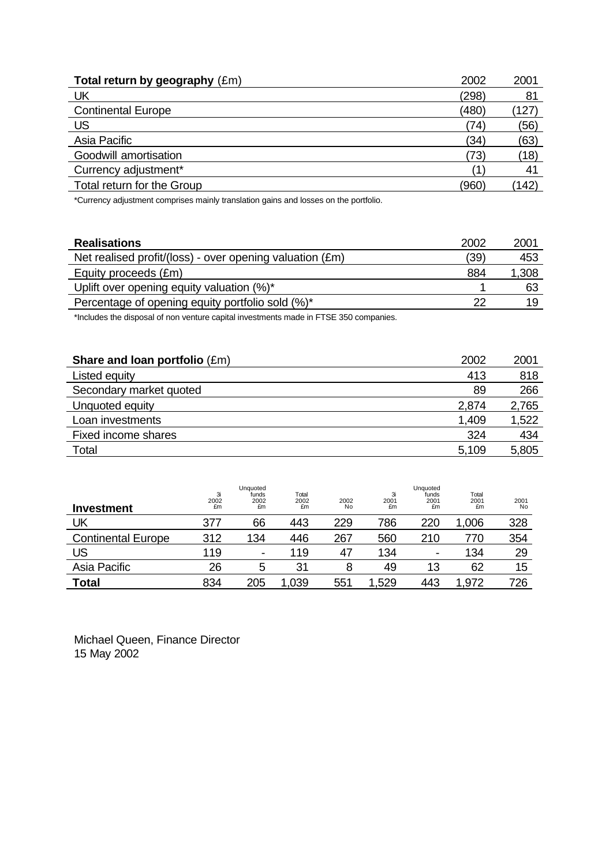| Total return by geography $(\text{Em})$<br>2002 | 2001  |
|-------------------------------------------------|-------|
| UK<br>(298)                                     | 81    |
| <b>Continental Europe</b><br>(480)              | 127   |
| US<br>(74)                                      | (56)  |
| Asia Pacific<br>(34)                            | (63)  |
| Goodwill amortisation<br>(73)                   | (18)  |
| Currency adjustment*                            | 41    |
| Total return for the Group<br>(960)             | (142) |

\*Currency adjustment comprises mainly translation gains and losses on the portfolio.

| <b>Realisations</b>                                      | 2002 | 2001  |
|----------------------------------------------------------|------|-------|
| Net realised profit/(loss) - over opening valuation (£m) | (39) | 453   |
| Equity proceeds (£m)                                     | 884  | 1,308 |
| Uplift over opening equity valuation (%)*                |      | 63    |
| Percentage of opening equity portfolio sold (%)*         | 22   | 19    |

\*Includes the disposal of non venture capital investments made in FTSE 350 companies.

| <b>Share and loan portfolio <math>(\text{Em})</math></b> | 2002  | 2001  |
|----------------------------------------------------------|-------|-------|
| Listed equity                                            | 413   | 818   |
| Secondary market quoted                                  | 89    | 266   |
| Unquoted equity                                          | 2,874 | 2,765 |
| Loan investments                                         | 1,409 | 1,522 |
| Fixed income shares                                      | 324   | 434   |
| Total                                                    | 5,109 | 5,805 |

| <b>Investment</b>         | 3i<br>2002<br>£m | Unquoted<br>funds<br>2002<br>£m | Total<br>2002<br>£m | 2002<br>No | 3i<br>2001<br>£m | Unquoted<br>funds<br>2001<br>£m | Total<br>2001<br>£m | 2001<br>No |
|---------------------------|------------------|---------------------------------|---------------------|------------|------------------|---------------------------------|---------------------|------------|
| UK                        | 377              | 66                              | 443                 | 229        | 786              | 220                             | 1,006               | 328        |
| <b>Continental Europe</b> | 312              | 134                             | 446                 | 267        | 560              | 210                             | 770                 | 354        |
| US.                       | 119              | $\overline{\phantom{a}}$        | 119                 | 47         | 134              | ۰                               | 134                 | 29         |
| Asia Pacific              | 26               |                                 | 31                  |            | 49               | 13                              | 62                  | 15         |
| <b>Total</b>              | 834              | 205                             | 1,039               | 551        | .529             | 443                             | .972                | 726        |

Michael Queen, Finance Director 15 May 2002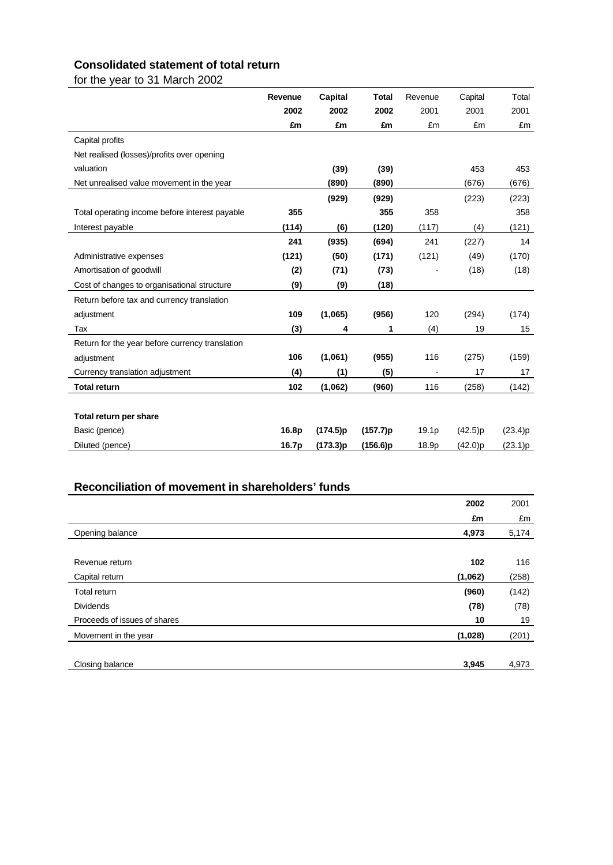## **Consolidated statement of total return**

for the year to 31 March 2002

|                                                 | Revenue | <b>Capital</b> | <b>Total</b> | Revenue | Capital | Total   |
|-------------------------------------------------|---------|----------------|--------------|---------|---------|---------|
|                                                 | 2002    | 2002           | 2002         | 2001    | 2001    | 2001    |
|                                                 | £m      | £m             | £m           | £m      | £m      | £m      |
| Capital profits                                 |         |                |              |         |         |         |
| Net realised (losses)/profits over opening      |         |                |              |         |         |         |
| valuation                                       |         | (39)           | (39)         |         | 453     | 453     |
| Net unrealised value movement in the year       |         | (890)          | (890)        |         | (676)   | (676)   |
|                                                 |         | (929)          | (929)        |         | (223)   | (223)   |
| Total operating income before interest payable  | 355     |                | 355          | 358     |         | 358     |
| Interest payable                                | (114)   | (6)            | (120)        | (117)   | (4)     | (121)   |
|                                                 | 241     | (935)          | (694)        | 241     | (227)   | 14      |
| Administrative expenses                         | (121)   | (50)           | (171)        | (121)   | (49)    | (170)   |
| Amortisation of goodwill                        | (2)     | (71)           | (73)         |         | (18)    | (18)    |
| Cost of changes to organisational structure     | (9)     | (9)            | (18)         |         |         |         |
| Return before tax and currency translation      |         |                |              |         |         |         |
| adjustment                                      | 109     | (1,065)        | (956)        | 120     | (294)   | (174)   |
| Tax                                             | (3)     | 4              | 1            | (4)     | 19      | 15      |
| Return for the year before currency translation |         |                |              |         |         |         |
| adjustment                                      | 106     | (1,061)        | (955)        | 116     | (275)   | (159)   |
| Currency translation adjustment                 | (4)     | (1)            | (5)          |         | 17      | 17      |
| <b>Total return</b>                             | 102     | (1,062)        | (960)        | 116     | (258)   | (142)   |
|                                                 |         |                |              |         |         |         |
| Total return per share                          |         |                |              |         |         |         |
| Basic (pence)                                   | 16.8p   | (174.5)p       | (157.7)p     | 19.1p   | (42.5)p | (23.4)p |
| Diluted (pence)                                 | 16.7p   | (173.3)p       | (156.6)p     | 18.9p   | (42.0)p | (23.1)p |
|                                                 |         |                |              |         |         |         |

| Reconciliation of movement in shareholders' funds |       |       |
|---------------------------------------------------|-------|-------|
|                                                   | 2002  | 2001  |
|                                                   | £m    | £m    |
| Opening balance                                   | 4,973 | 5,174 |
|                                                   |       |       |
| Revenue return                                    | 102   | 116   |
| (1,062)<br>Capital return                         |       | (258) |
| Total return                                      | (960) | (142) |
| <b>Dividends</b>                                  | (78)  | (78)  |
| Proceeds of issues of shares                      | 10    | 19    |
| (1,028)<br>Movement in the year                   |       | (201) |
| Closing balance                                   | 3,945 | 4,973 |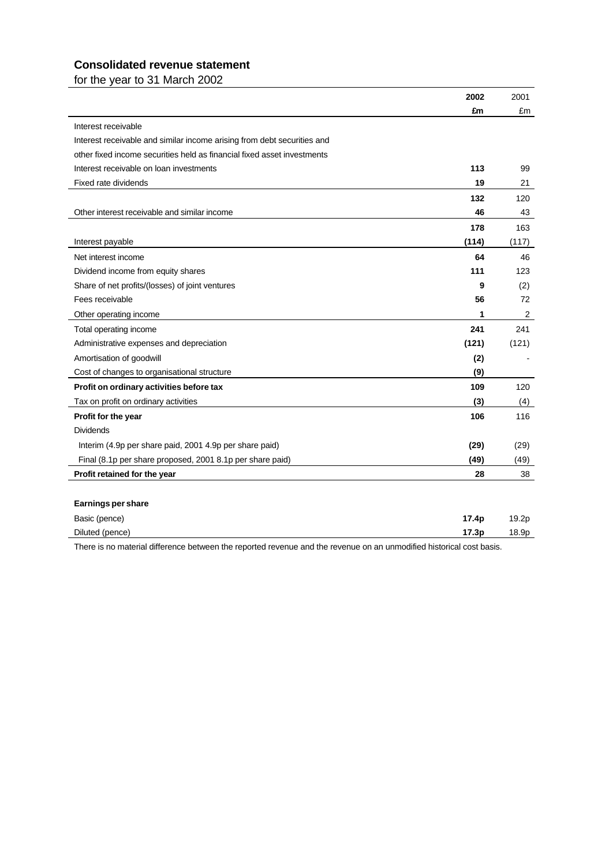### **Consolidated revenue statement**

for the year to 31 March 2002

|                                                                         | 2002  | 2001           |
|-------------------------------------------------------------------------|-------|----------------|
|                                                                         | £m    | £m             |
| Interest receivable                                                     |       |                |
| Interest receivable and similar income arising from debt securities and |       |                |
| other fixed income securities held as financial fixed asset investments |       |                |
| Interest receivable on loan investments                                 | 113   | 99             |
| Fixed rate dividends                                                    | 19    | 21             |
|                                                                         | 132   | 120            |
| Other interest receivable and similar income                            | 46    | 43             |
|                                                                         | 178   | 163            |
| Interest payable                                                        | (114) | (117)          |
| Net interest income                                                     | 64    | 46             |
| Dividend income from equity shares                                      | 111   | 123            |
| Share of net profits/(losses) of joint ventures                         | 9     | (2)            |
| Fees receivable                                                         | 56    | 72             |
| Other operating income                                                  | 1     | $\overline{2}$ |
| Total operating income                                                  | 241   | 241            |
| Administrative expenses and depreciation                                | (121) | (121)          |
| Amortisation of goodwill                                                | (2)   |                |
| Cost of changes to organisational structure                             | (9)   |                |
| Profit on ordinary activities before tax                                | 109   | 120            |
| Tax on profit on ordinary activities                                    | (3)   | (4)            |
| Profit for the year                                                     | 106   | 116            |
| <b>Dividends</b>                                                        |       |                |
| Interim (4.9p per share paid, 2001 4.9p per share paid)                 | (29)  | (29)           |
| Final (8.1p per share proposed, 2001 8.1p per share paid)               | (49)  | (49)           |
| Profit retained for the year                                            | 28    | 38             |
|                                                                         |       |                |
| <b>Earnings per share</b>                                               |       |                |
| Basic (pence)                                                           | 17.4p | 19.2p          |
| Diluted (pence)                                                         | 17.3p | 18.9p          |

There is no material difference between the reported revenue and the revenue on an unmodified historical cost basis.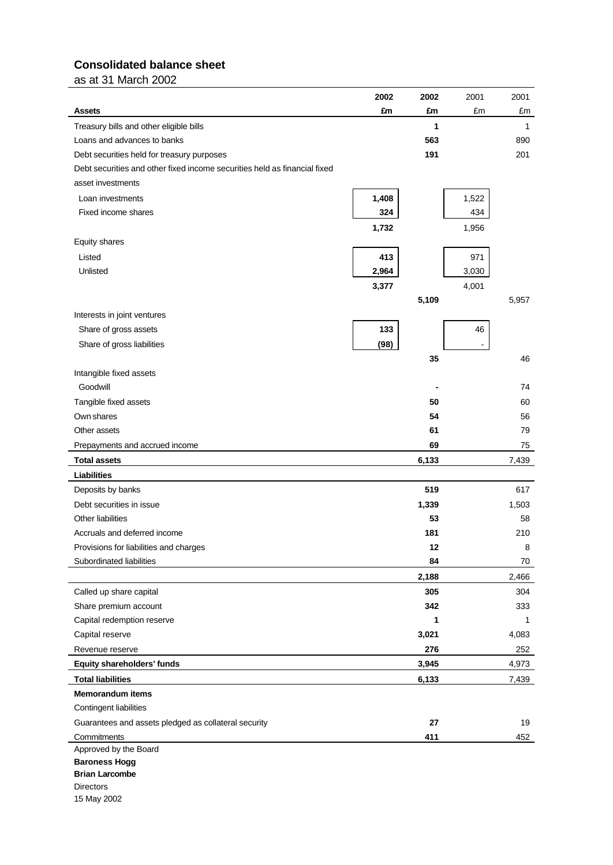## **Consolidated balance sheet**

as at 31 March 2002

|                                                                           | 2002  | 2002  | 2001  | 2001  |
|---------------------------------------------------------------------------|-------|-------|-------|-------|
| <b>Assets</b>                                                             | £m    | £m    | £m    | £m    |
| Treasury bills and other eligible bills                                   |       | 1     |       | 1     |
| Loans and advances to banks                                               |       | 563   |       | 890   |
| Debt securities held for treasury purposes                                |       | 191   |       | 201   |
| Debt securities and other fixed income securities held as financial fixed |       |       |       |       |
| asset investments                                                         |       |       |       |       |
| Loan investments                                                          | 1,408 |       | 1,522 |       |
| Fixed income shares                                                       | 324   |       | 434   |       |
|                                                                           | 1,732 |       | 1,956 |       |
| Equity shares                                                             |       |       |       |       |
| Listed                                                                    | 413   |       | 971   |       |
| Unlisted                                                                  | 2,964 |       | 3,030 |       |
|                                                                           | 3,377 |       | 4,001 |       |
|                                                                           |       | 5,109 |       | 5,957 |
| Interests in joint ventures                                               |       |       |       |       |
| Share of gross assets                                                     | 133   |       | 46    |       |
| Share of gross liabilities                                                | (98)  |       |       |       |
|                                                                           |       | 35    |       | 46    |
| Intangible fixed assets                                                   |       |       |       |       |
| Goodwill                                                                  |       |       |       | 74    |
| Tangible fixed assets                                                     |       | 50    |       | 60    |
| Own shares                                                                |       | 54    |       | 56    |
| Other assets                                                              |       | 61    |       | 79    |
| Prepayments and accrued income                                            |       | 69    |       | 75    |
| <b>Total assets</b>                                                       |       | 6,133 |       | 7,439 |
| <b>Liabilities</b>                                                        |       |       |       |       |
| Deposits by banks                                                         |       | 519   |       | 617   |
| Debt securities in issue                                                  |       | 1,339 |       | 1,503 |
| Other liabilities                                                         |       | 53    |       | 58    |
| Accruals and deferred income                                              |       | 181   |       | 210   |
| Provisions for liabilities and charges                                    |       | 12    |       | 8     |
| Subordinated liabilities                                                  |       | 84    |       | 70    |
|                                                                           |       |       |       |       |
|                                                                           |       | 2,188 |       | 2,466 |
| Called up share capital                                                   |       | 305   |       | 304   |
| Share premium account                                                     |       | 342   |       | 333   |
| Capital redemption reserve                                                |       | 1     |       | 1     |
| Capital reserve                                                           |       | 3,021 |       | 4,083 |
| Revenue reserve                                                           |       | 276   |       | 252   |
| Equity shareholders' funds                                                |       | 3,945 |       | 4,973 |
| <b>Total liabilities</b>                                                  |       | 6,133 |       | 7,439 |
| <b>Memorandum items</b>                                                   |       |       |       |       |
| Contingent liabilities                                                    |       |       |       |       |
| Guarantees and assets pledged as collateral security                      |       | 27    |       | 19    |
| Commitments                                                               |       | 411   |       | 452   |
| Approved by the Board                                                     |       |       |       |       |
| <b>Baroness Hogg</b><br><b>Brian Larcombe</b>                             |       |       |       |       |
| <b>Directors</b>                                                          |       |       |       |       |
| 15 May 2002                                                               |       |       |       |       |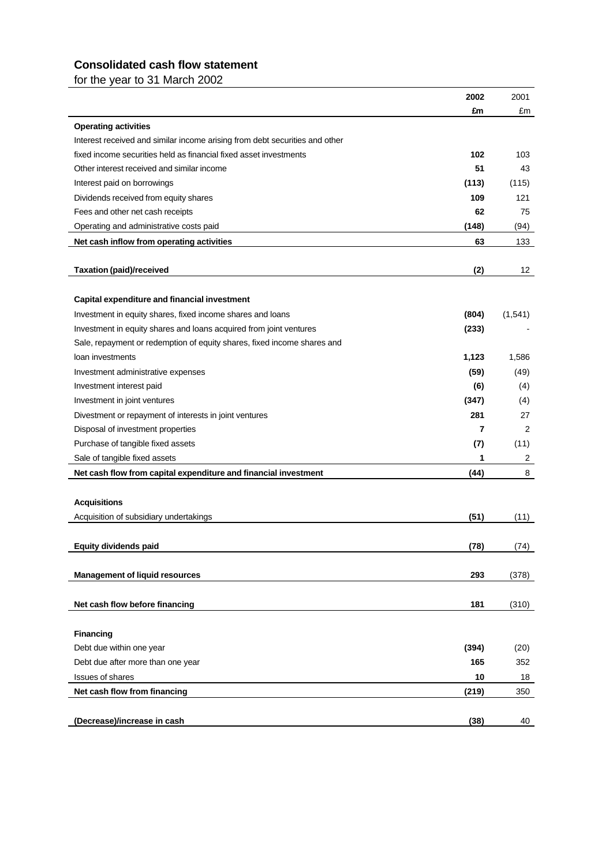## **Consolidated cash flow statement**

for the year to 31 March 2002

|                                                                             | 2002  | 2001    |
|-----------------------------------------------------------------------------|-------|---------|
|                                                                             | £m    | £m      |
| <b>Operating activities</b>                                                 |       |         |
| Interest received and similar income arising from debt securities and other |       |         |
| fixed income securities held as financial fixed asset investments           | 102   | 103     |
| Other interest received and similar income                                  | 51    | 43      |
| Interest paid on borrowings                                                 | (113) | (115)   |
| Dividends received from equity shares                                       | 109   | 121     |
| Fees and other net cash receipts                                            | 62    | 75      |
| Operating and administrative costs paid                                     | (148) | (94)    |
| Net cash inflow from operating activities                                   | 63    | 133     |
|                                                                             |       |         |
| <b>Taxation (paid)/received</b>                                             | (2)   | 12      |
|                                                                             |       |         |
| Capital expenditure and financial investment                                |       |         |
| Investment in equity shares, fixed income shares and loans                  | (804) | (1,541) |
| Investment in equity shares and loans acquired from joint ventures          | (233) |         |
| Sale, repayment or redemption of equity shares, fixed income shares and     |       |         |
| loan investments                                                            | 1,123 | 1,586   |
| Investment administrative expenses                                          | (59)  | (49)    |
| Investment interest paid                                                    | (6)   | (4)     |
| Investment in joint ventures                                                | (347) | (4)     |
| Divestment or repayment of interests in joint ventures                      | 281   | 27      |
| Disposal of investment properties                                           | 7     | 2       |
| Purchase of tangible fixed assets                                           | (7)   | (11)    |
| Sale of tangible fixed assets                                               | 1     | 2       |
| Net cash flow from capital expenditure and financial investment             | (44)  | 8       |
|                                                                             |       |         |
| <b>Acquisitions</b>                                                         |       |         |
| Acquisition of subsidiary undertakings                                      | (51)  | (11)    |
|                                                                             |       |         |
| <b>Equity dividends paid</b>                                                | (78)  | (74)    |
|                                                                             |       |         |
| <b>Management of liquid resources</b>                                       | 293   | (378)   |
|                                                                             |       |         |
| Net cash flow before financing                                              | 181   | (310)   |
|                                                                             |       |         |
| <b>Financing</b>                                                            |       |         |
| Debt due within one year                                                    | (394) | (20)    |
| Debt due after more than one year                                           | 165   | 352     |
| <b>Issues of shares</b>                                                     | 10    | 18      |
| Net cash flow from financing                                                | (219) | 350     |
|                                                                             |       |         |
| (Decrease)/increase in cash                                                 | (38)  | 40      |
|                                                                             |       |         |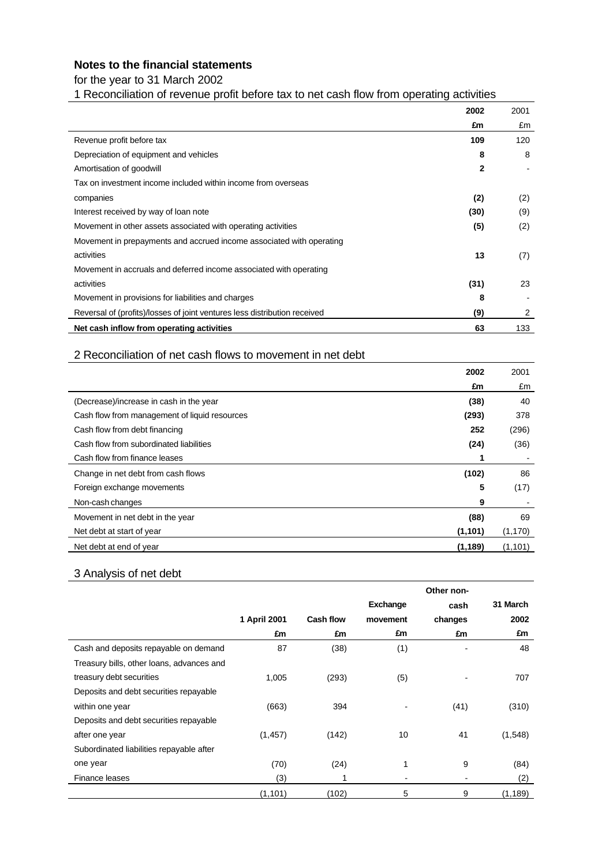### **Notes to the financial statements**

for the year to 31 March 2002

1 Reconciliation of revenue profit before tax to net cash flow from operating activities

|                                                                           | 2002         | 2001 |
|---------------------------------------------------------------------------|--------------|------|
|                                                                           | £m           | £m   |
| Revenue profit before tax                                                 | 109          | 120  |
| Depreciation of equipment and vehicles                                    | 8            | 8    |
| Amortisation of goodwill                                                  | $\mathbf{2}$ |      |
| Tax on investment income included within income from overseas             |              |      |
| companies                                                                 | (2)          | (2)  |
| Interest received by way of loan note                                     | (30)         | (9)  |
| Movement in other assets associated with operating activities             | (5)          | (2)  |
| Movement in prepayments and accrued income associated with operating      |              |      |
| activities                                                                | 13           | (7)  |
| Movement in accruals and deferred income associated with operating        |              |      |
| activities                                                                | (31)         | 23   |
| Movement in provisions for liabilities and charges                        | 8            |      |
| Reversal of (profits)/losses of joint ventures less distribution received | (9)          | 2    |
| Net cash inflow from operating activities                                 | 63           | 133  |

### 2 Reconciliation of net cash flows to movement in net debt

|                                               | 2002     | 2001     |
|-----------------------------------------------|----------|----------|
|                                               | £m       | £m       |
| (Decrease)/increase in cash in the year       | (38)     | 40       |
| Cash flow from management of liquid resources | (293)    | 378      |
| Cash flow from debt financing                 | 252      | (296)    |
| Cash flow from subordinated liabilities       | (24)     | (36)     |
| Cash flow from finance leases                 |          |          |
| Change in net debt from cash flows            | (102)    | 86       |
| Foreign exchange movements                    | 5        | (17)     |
| Non-cash changes                              | 9        |          |
| Movement in net debt in the year              | (88)     | 69       |
| Net debt at start of year                     | (1,101)  | (1, 170) |
| Net debt at end of year                       | (1, 189) | (1, 101) |

### 3 Analysis of net debt

|                                           |              |                  | Other non- |         |          |  |  |  |
|-------------------------------------------|--------------|------------------|------------|---------|----------|--|--|--|
|                                           |              |                  | Exchange   | cash    | 31 March |  |  |  |
|                                           | 1 April 2001 | <b>Cash flow</b> | movement   | changes | 2002     |  |  |  |
|                                           | £m           | £m               | £m         | £m      | £m       |  |  |  |
| Cash and deposits repayable on demand     | 87           | (38)             | (1)        |         | 48       |  |  |  |
| Treasury bills, other loans, advances and |              |                  |            |         |          |  |  |  |
| treasury debt securities                  | 1,005        | (293)            | (5)        |         | 707      |  |  |  |
| Deposits and debt securities repayable    |              |                  |            |         |          |  |  |  |
| within one year                           | (663)        | 394              |            | (41)    | (310)    |  |  |  |
| Deposits and debt securities repayable    |              |                  |            |         |          |  |  |  |
| after one year                            | (1, 457)     | (142)            | 10         | 41      | (1,548)  |  |  |  |
| Subordinated liabilities repayable after  |              |                  |            |         |          |  |  |  |
| one year                                  | (70)         | (24)             | 1          | 9       | (84)     |  |  |  |
| Finance leases                            | (3)          | ۸                |            |         | (2)      |  |  |  |
|                                           | (1, 101)     | (102)            | 5          | 9       | (1, 189) |  |  |  |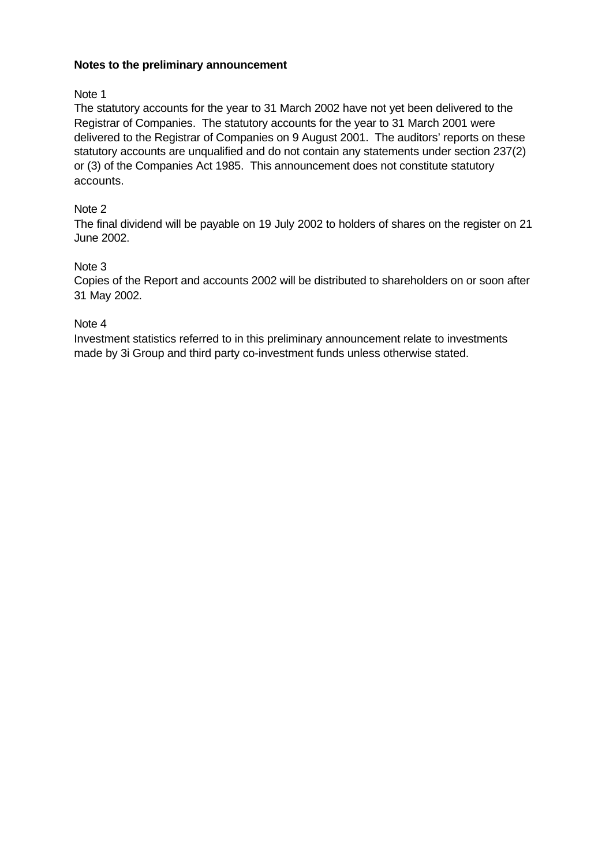### **Notes to the preliminary announcement**

### Note 1

The statutory accounts for the year to 31 March 2002 have not yet been delivered to the Registrar of Companies. The statutory accounts for the year to 31 March 2001 were delivered to the Registrar of Companies on 9 August 2001. The auditors' reports on these statutory accounts are unqualified and do not contain any statements under section 237(2) or (3) of the Companies Act 1985. This announcement does not constitute statutory accounts.

### Note 2

The final dividend will be payable on 19 July 2002 to holders of shares on the register on 21 June 2002.

### Note 3

Copies of the Report and accounts 2002 will be distributed to shareholders on or soon after 31 May 2002.

### Note 4

Investment statistics referred to in this preliminary announcement relate to investments made by 3i Group and third party co-investment funds unless otherwise stated.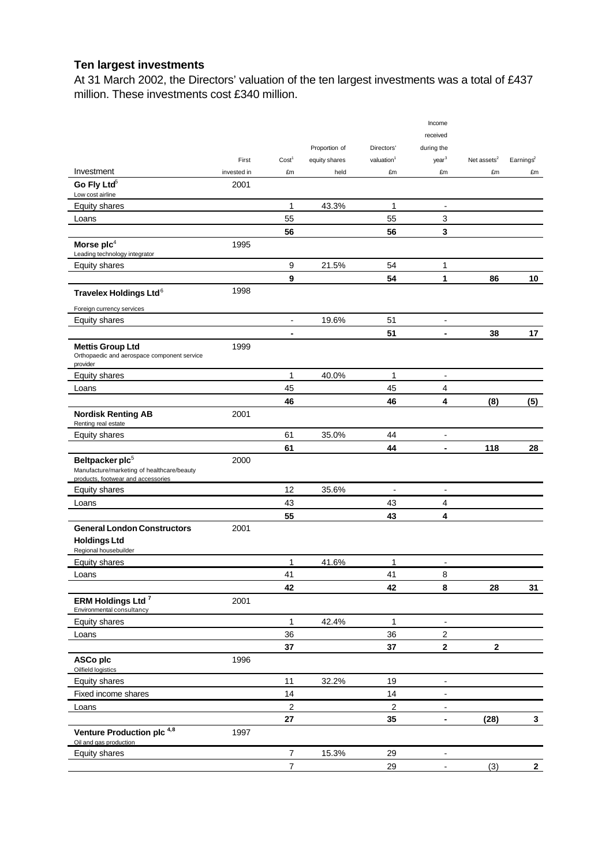## **Ten largest investments**

At 31 March 2002, the Directors' valuation of the ten largest investments was a total of £437 million. These investments cost £340 million.

|                                                                                                                 |             |                              |               |                        | Income                       |                         |                         |
|-----------------------------------------------------------------------------------------------------------------|-------------|------------------------------|---------------|------------------------|------------------------------|-------------------------|-------------------------|
|                                                                                                                 |             |                              |               |                        | received                     |                         |                         |
|                                                                                                                 |             |                              | Proportion of | Directors'             | during the                   |                         |                         |
|                                                                                                                 | First       | Cost <sup>1</sup>            | equity shares | valuation <sup>1</sup> | year <sup>3</sup>            | Net assets <sup>2</sup> | Earnings <sup>2</sup>   |
| Investment                                                                                                      | invested in | £m                           | held          | £m                     | £m                           | £m                      | £m                      |
| Go Fly Ltd <sup>5</sup><br>Low cost airline                                                                     | 2001        |                              |               |                        |                              |                         |                         |
| <b>Equity shares</b>                                                                                            |             | 1                            | 43.3%         | 1                      | $\blacksquare$               |                         |                         |
| Loans                                                                                                           |             | 55                           |               | 55                     | 3                            |                         |                         |
|                                                                                                                 |             | 56                           |               | 56                     | 3                            |                         |                         |
| Morse $\mathsf{plc}^4$<br>Leading technology integrator                                                         | 1995        |                              |               |                        |                              |                         |                         |
| Equity shares                                                                                                   |             | 9                            | 21.5%         | 54                     | 1                            |                         |                         |
|                                                                                                                 |             | 9                            |               | 54                     | 1                            | 86                      | 10 <sup>°</sup>         |
| Travelex Holdings Ltd <sup>6</sup>                                                                              | 1998        |                              |               |                        |                              |                         |                         |
| Foreign currency services                                                                                       |             |                              |               |                        |                              |                         |                         |
| Equity shares                                                                                                   |             | $\qquad \qquad \blacksquare$ | 19.6%         | 51                     | $\blacksquare$               |                         |                         |
|                                                                                                                 |             | -                            |               | 51                     | $\blacksquare$               | 38                      | 17                      |
| <b>Mettis Group Ltd</b><br>Orthopaedic and aerospace component service<br>provider                              | 1999        |                              |               |                        |                              |                         |                         |
| <b>Equity shares</b>                                                                                            |             | 1                            | 40.0%         | 1                      | $\blacksquare$               |                         |                         |
| Loans                                                                                                           |             | 45                           |               | 45                     | 4                            |                         |                         |
|                                                                                                                 |             | 46                           |               | 46                     | 4                            | (8)                     | (5)                     |
| <b>Nordisk Renting AB</b><br>Renting real estate                                                                | 2001        |                              |               |                        |                              |                         |                         |
| <b>Equity shares</b>                                                                                            |             | 61                           | 35.0%         | 44                     | $\blacksquare$               |                         |                         |
|                                                                                                                 |             | 61                           |               | 44                     | $\blacksquare$               | 118                     | 28                      |
| Beltpacker plc <sup>5</sup><br>Manufacture/marketing of healthcare/beauty<br>products, footwear and accessories | 2000        |                              |               |                        |                              |                         |                         |
| Equity shares                                                                                                   |             | 12                           | 35.6%         | $\blacksquare$         | $\blacksquare$               |                         |                         |
| Loans                                                                                                           |             | 43                           |               | 43                     | 4                            |                         |                         |
|                                                                                                                 |             | 55                           |               | 43                     | 4                            |                         |                         |
| <b>General London Constructors</b>                                                                              | 2001        |                              |               |                        |                              |                         |                         |
| <b>Holdings Ltd</b><br>Regional housebuilder                                                                    |             |                              |               |                        |                              |                         |                         |
| <b>Equity shares</b>                                                                                            |             | 1                            | 41.6%         | 1                      | $\overline{\phantom{a}}$     |                         |                         |
| Loans                                                                                                           |             | 41                           |               | 41                     | 8                            |                         |                         |
|                                                                                                                 |             | 42                           |               | 42                     | 8                            | 28                      | 31                      |
| ERM Holdings Ltd <sup>7</sup><br>Environmental consultancy                                                      | 2001        |                              |               |                        |                              |                         |                         |
| Equity shares                                                                                                   |             | $\mathbf{1}$                 | 42.4%         | $\mathbf{1}$           | $\blacksquare$               |                         |                         |
| Loans                                                                                                           |             | 36                           |               | 36                     | $\overline{2}$               |                         |                         |
|                                                                                                                 |             | $37\,$                       |               | $37\,$                 | $\mathbf 2$                  | $\mathbf 2$             |                         |
| ASCo plc<br>Oilfield logistics                                                                                  | 1996        |                              |               |                        |                              |                         |                         |
| Equity shares                                                                                                   |             | 11                           | 32.2%         | 19                     | $\blacksquare$               |                         |                         |
| Fixed income shares                                                                                             |             | 14                           |               | 14                     | $\blacksquare$               |                         |                         |
| Loans                                                                                                           |             | 2                            |               | $\overline{c}$         | ÷                            |                         |                         |
|                                                                                                                 |             | ${\bf 27}$                   |               | 35                     | $\blacksquare$               | (28)                    | $\overline{\mathbf{3}}$ |
| Venture Production plc <sup>4,8</sup><br>Oil and gas production                                                 | 1997        |                              |               |                        |                              |                         |                         |
| Equity shares                                                                                                   |             | 7                            | 15.3%         | 29                     | $\overline{\phantom{a}}$     |                         |                         |
|                                                                                                                 |             | $\overline{\mathbf{7}}$      |               | 29                     | $\qquad \qquad \blacksquare$ | (3)                     | $\overline{2}$          |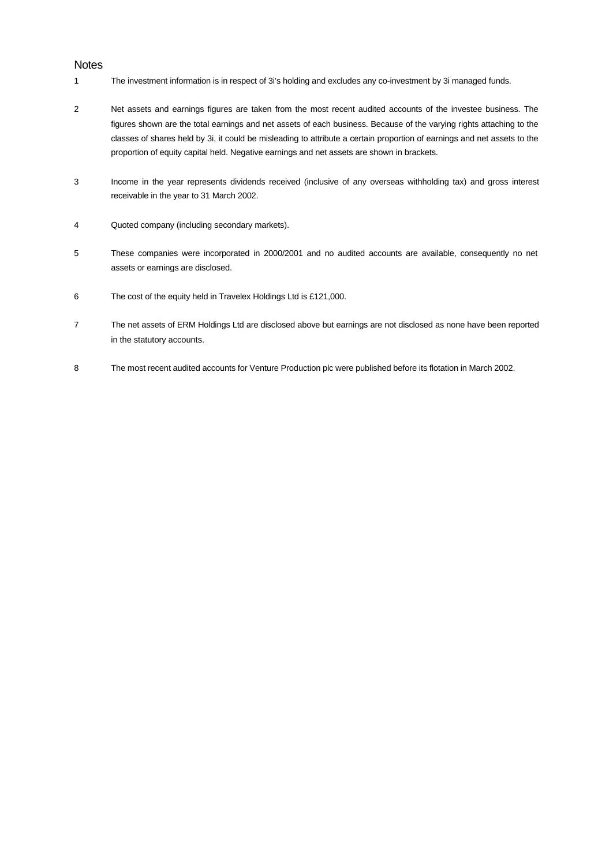#### **Notes**

- 1 The investment information is in respect of 3i's holding and excludes any co-investment by 3i managed funds.
- 2 Net assets and earnings figures are taken from the most recent audited accounts of the investee business. The figures shown are the total earnings and net assets of each business. Because of the varying rights attaching to the classes of shares held by 3i, it could be misleading to attribute a certain proportion of earnings and net assets to the proportion of equity capital held. Negative earnings and net assets are shown in brackets.
- 3 Income in the year represents dividends received (inclusive of any overseas withholding tax) and gross interest receivable in the year to 31 March 2002.
- 4 Quoted company (including secondary markets).
- 5 These companies were incorporated in 2000/2001 and no audited accounts are available, consequently no net assets or earnings are disclosed.
- 6 The cost of the equity held in Travelex Holdings Ltd is £121,000.
- 7 The net assets of ERM Holdings Ltd are disclosed above but earnings are not disclosed as none have been reported in the statutory accounts.
- 8 The most recent audited accounts for Venture Production plc were published before its flotation in March 2002.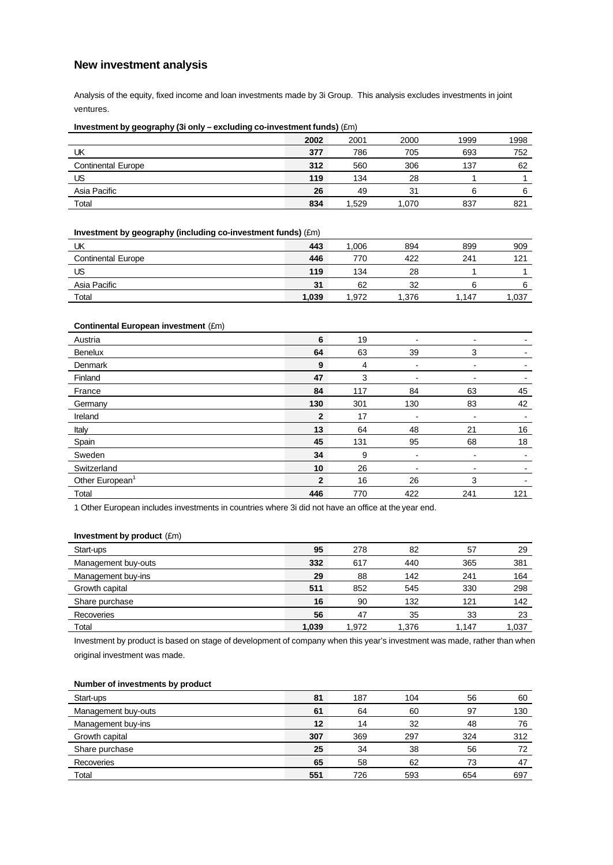### **New investment analysis**

Analysis of the equity, fixed income and loan investments made by 3i Group. This analysis excludes investments in joint ventures.

#### **Investment by geography (3i only – excluding co-investment funds)** (£m)

|                           | 2002 | 2001  | 2000  | 1999 | 1998 |
|---------------------------|------|-------|-------|------|------|
| UK                        | 377  | 786   | 705   | 693  | 752  |
| <b>Continental Europe</b> | 312  | 560   | 306   | 137  | 62   |
| US                        | 119  | 134   | 28    |      |      |
| Asia Pacific              | 26   | 49    | 31    |      | 6    |
| Total                     | 834  | 1,529 | .070، | 837  | 821  |

**Investment by geography (including co-investment funds)** (£m)

| UΚ                 | 443   | 1.006 | 894   | 899   | 909  |
|--------------------|-------|-------|-------|-------|------|
| Continental Europe | 446   | 770   | 422   | 241   | 121  |
| US                 | 119   | 134   | 28    |       |      |
| Asia Pacific       | 31    | 62    | 32    |       | 6    |
| Total              | 1,039 | 1.972 | 1.376 | 1.147 | .037 |

#### **Continental European investment** (£m)

| Austria                     | 6              | 19  | $\overline{\phantom{a}}$ | ٠   |     |
|-----------------------------|----------------|-----|--------------------------|-----|-----|
| Benelux                     | 64             | 63  | 39                       | 3   |     |
| Denmark                     | 9              | 4   | $\overline{\phantom{a}}$ | -   |     |
| Finland                     | 47             | 3   | $\overline{\phantom{a}}$ | -   |     |
| France                      | 84             | 117 | 84                       | 63  | 45  |
| Germany                     | 130            | 301 | 130                      | 83  | 42  |
| Ireland                     | $\overline{2}$ | 17  | $\blacksquare$           | -   |     |
| Italy                       | 13             | 64  | 48                       | 21  | 16  |
| Spain                       | 45             | 131 | 95                       | 68  | 18  |
| Sweden                      | 34             | 9   | $\overline{\phantom{a}}$ | -   |     |
| Switzerland                 | 10             | 26  | ٠                        | -   |     |
| Other European <sup>1</sup> | $\overline{2}$ | 16  | 26                       | 3   |     |
| Total                       | 446            | 770 | 422                      | 241 | 121 |

1 Other European includes investments in countries where 3i did not have an office at the year end.

#### **Investment by product** (£m)

| Start-ups           | 95    | 278   | 82    | 57    | 29    |
|---------------------|-------|-------|-------|-------|-------|
| Management buy-outs | 332   | 617   | 440   | 365   | 381   |
| Management buy-ins  | 29    | 88    | 142   | 241   | 164   |
| Growth capital      | 511   | 852   | 545   | 330   | 298   |
| Share purchase      | 16    | 90    | 132   | 121   | 142   |
| Recoveries          | 56    | 47    | 35    | 33    | 23    |
| Total               | 1,039 | 1,972 | 1.376 | 1.147 | 1,037 |

Investment by product is based on stage of development of company when this year's investment was made, rather than when original investment was made.

#### **Number of investments by product**

| Start-ups           | 81  | 187 | 104 | 56  | 60  |
|---------------------|-----|-----|-----|-----|-----|
| Management buy-outs | 61  | 64  | 60  | 97  | 130 |
| Management buy-ins  | 12  | 14  | 32  | 48  | 76  |
| Growth capital      | 307 | 369 | 297 | 324 | 312 |
| Share purchase      | 25  | 34  | 38  | 56  | 72  |
| Recoveries          | 65  | 58  | 62  | 72  | 47  |
| Total               | 551 | 726 | 593 | 654 | 697 |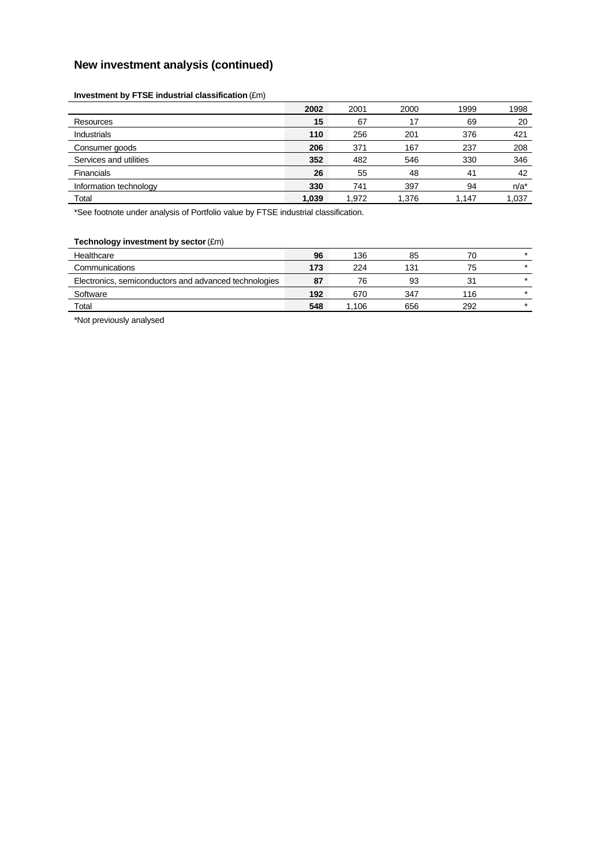## **New investment analysis (continued)**

#### **Investment by FTSE industrial classification** (£m)

| 2002  | 2001  | 2000  | 1999  | 1998    |
|-------|-------|-------|-------|---------|
| 15    | 67    | 17    | 69    | 20      |
| 110   | 256   | 201   | 376   | 421     |
| 206   | 371   | 167   | 237   | 208     |
| 352   | 482   | 546   | 330   | 346     |
| 26    | 55    | 48    | 41    | 42      |
| 330   | 741   | 397   | 94    | $n/a^*$ |
| 1,039 | 1,972 | 1,376 | 1.147 | 1,037   |
|       |       |       |       |         |

\*See footnote under analysis of Portfolio value by FTSE industrial classification.

#### **Technology investment by sector** (£m)

| Healthcare                                            | 96  | 136  | 85  |     | $\star$ |
|-------------------------------------------------------|-----|------|-----|-----|---------|
| Communications                                        | 173 | 224  | 131 | 75  | $\star$ |
| Electronics, semiconductors and advanced technologies | 87  | 76   | 93  | 31  | $\star$ |
| Software                                              | 192 | 670  | 347 | 116 | $\star$ |
| Total                                                 | 548 | .106 | 656 | 292 | $\star$ |

\*Not previously analysed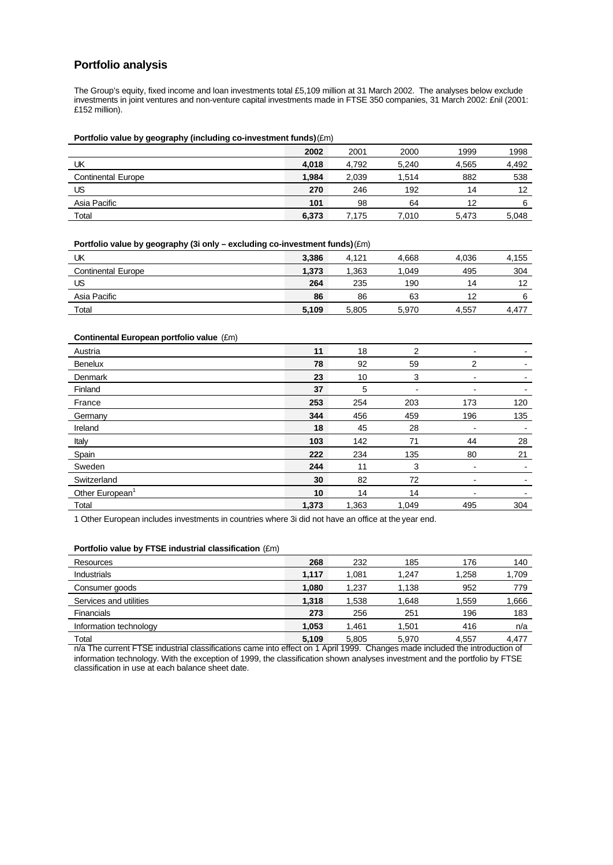### **Portfolio analysis**

The Group's equity, fixed income and loan investments total £5,109 million at 31 March 2002. The analyses below exclude investments in joint ventures and non-venture capital investments made in FTSE 350 companies, 31 March 2002: £nil (2001: £152 million).

**Portfolio value by geography (including co-investment funds)** (£m)

|                           | 2002  | 2001  | 2000  | 1999  | 1998  |
|---------------------------|-------|-------|-------|-------|-------|
| UK                        | 4,018 | 4,792 | 5,240 | 4,565 | 4,492 |
| <b>Continental Europe</b> | 1.984 | 2.039 | 1.514 | 882   | 538   |
| US                        | 270   | 246   | 192   | 14    | 12    |
| Asia Pacific              | 101   | 98    | 64    | 12    | 6     |
| Total                     | 6.373 | 7.175 | 7.010 | 5,473 | 5,048 |

**Portfolio value by geography (3i only – excluding co-investment funds)** (£m)

| UK                        | 3,386 | 4.121 | 4.668 | 4,036 | 4,155 |
|---------------------------|-------|-------|-------|-------|-------|
| <b>Continental Europe</b> | 1.373 | .363  | .049  | 495   | 304   |
| US                        | 264   | 235   | 190   | 14    | 12    |
| Asia Pacific              | 86    | 86    | 63    | 12    | 6     |
| Total                     | 5,109 | 5,805 | 5,970 | 4,557 | 4.477 |

| Continental European portfolio value (£m) |       |       |                |     |     |
|-------------------------------------------|-------|-------|----------------|-----|-----|
| Austria                                   | 11    | 18    | $\overline{2}$ | ۰   |     |
| <b>Benelux</b>                            | 78    | 92    | 59             | 2   |     |
| Denmark                                   | 23    | 10    | 3              | ۰   |     |
| Finland                                   | 37    | 5     | $\blacksquare$ | ۰   |     |
| France                                    | 253   | 254   | 203            | 173 | 120 |
| Germany                                   | 344   | 456   | 459            | 196 | 135 |
| Ireland                                   | 18    | 45    | 28             |     |     |
| Italy                                     | 103   | 142   | 71             | 44  | 28  |
| Spain                                     | 222   | 234   | 135            | 80  | 21  |
| Sweden                                    | 244   | 11    | 3              |     |     |
| Switzerland                               | 30    | 82    | 72             | ۰   |     |
| Other European <sup>1</sup>               | 10    | 14    | 14             | ۰   |     |
| Total                                     | 1,373 | 1,363 | 1,049          | 495 | 304 |
|                                           |       |       |                |     |     |

1 Other European includes investments in countries where 3i did not have an office at the year end.

**Portfolio value by FTSE industrial classification** (£m)

| Resources              | 268   | 232   | 185   | 176   | 140   |
|------------------------|-------|-------|-------|-------|-------|
| <b>Industrials</b>     | 1.117 | 1.081 | 1.247 | 1,258 | 1,709 |
| Consumer goods         | 1,080 | 1,237 | 1,138 | 952   | 779   |
| Services and utilities | 1,318 | 1,538 | 1,648 | 1,559 | 1,666 |
| <b>Financials</b>      | 273   | 256   | 251   | 196   | 183   |
| Information technology | 1,053 | 1.461 | 1.501 | 416   | n/a   |
| Total                  | 5,109 | 5,805 | 5,970 | 4,557 | 4,477 |

n/a The current FTSE industrial classifications came into effect on 1 April 1999. Changes made included the introduction of information technology. With the exception of 1999, the classification shown analyses investment and the portfolio by FTSE classification in use at each balance sheet date.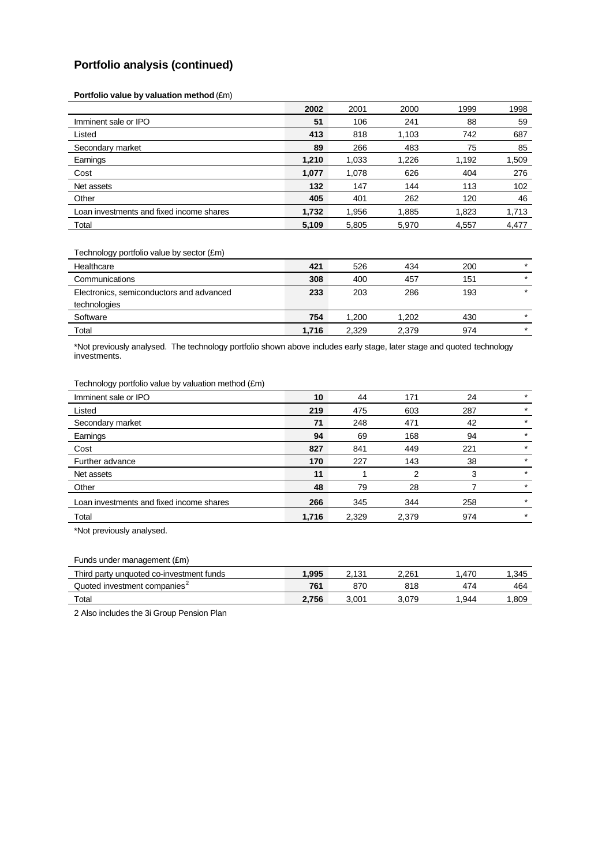## **Portfolio analysis (continued)**

**Portfolio value by valuation method** (£m)

| 59    |
|-------|
| 687   |
| 85    |
| 1,509 |
| 276   |
| 102   |
| 46    |
| 1,713 |
| 4,477 |
|       |

Technology portfolio value by sector (£m)

| Healthcare                               | 421   | 526   | 434   | 200 | $\star$ |
|------------------------------------------|-------|-------|-------|-----|---------|
| Communications                           | 308   | 400   | 457   | 151 | $\star$ |
| Electronics, semiconductors and advanced | 233   | 203   | 286   | 193 | $\star$ |
| technologies                             |       |       |       |     |         |
| Software                                 | 754   | 1.200 | 1.202 | 430 | $\star$ |
| Total                                    | 1.716 | 2.329 | 2,379 | 974 | $\star$ |

\*Not previously analysed. The technology portfolio shown above includes early stage, later stage and quoted technology investments.

Technology portfolio value by valuation method (£m)

| Imminent sale or IPO                     | 10    | 44    | 171   | 24  | $\star$ |
|------------------------------------------|-------|-------|-------|-----|---------|
| Listed                                   | 219   | 475   | 603   | 287 | $\ast$  |
| Secondary market                         | 71    | 248   | 471   | 42  | $\ast$  |
| Earnings                                 | 94    | 69    | 168   | 94  | $\ast$  |
| Cost                                     | 827   | 841   | 449   | 221 | $\star$ |
| Further advance                          | 170   | 227   | 143   | 38  | $\ast$  |
| Net assets                               | 11    |       | 2     | 3   | $\star$ |
| Other                                    | 48    | 79    | 28    |     | $\star$ |
| Loan investments and fixed income shares | 266   | 345   | 344   | 258 | $\star$ |
| Total                                    | 1,716 | 2,329 | 2,379 | 974 | $\star$ |
|                                          |       |       |       |     |         |

\*Not previously analysed.

Funds under management (£m)

| Thira<br>unquoted co-investment funds         | .995  | 10.<br><u>. . </u> | 2.26' | 470 | .345 |
|-----------------------------------------------|-------|--------------------|-------|-----|------|
| batouC<br>J investment companies <sup>2</sup> | 761   | 87C                | 818   |     | 464  |
| Total                                         | 2.756 | .001               |       | 944 | .809 |

2 Also includes the 3i Group Pension Plan